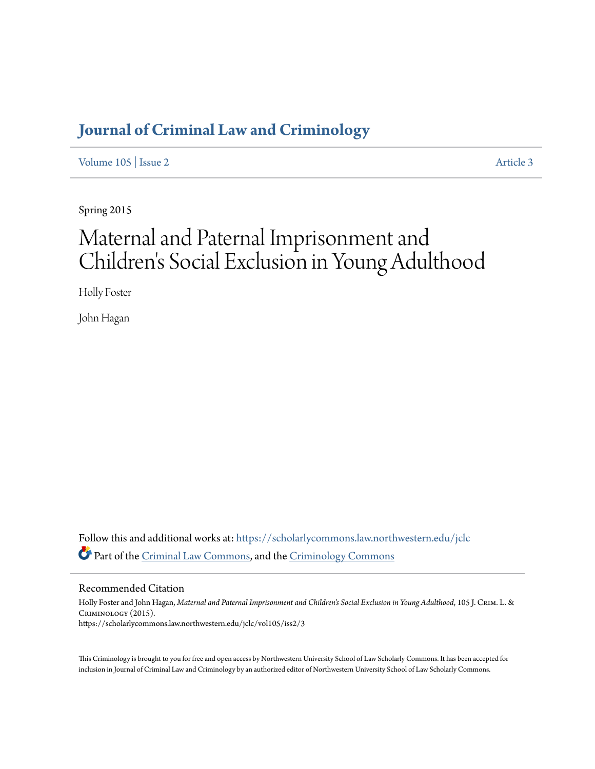## **[Journal of Criminal Law and Criminology](https://scholarlycommons.law.northwestern.edu/jclc?utm_source=scholarlycommons.law.northwestern.edu%2Fjclc%2Fvol105%2Fiss2%2F3&utm_medium=PDF&utm_campaign=PDFCoverPages)**

[Volume 105](https://scholarlycommons.law.northwestern.edu/jclc/vol105?utm_source=scholarlycommons.law.northwestern.edu%2Fjclc%2Fvol105%2Fiss2%2F3&utm_medium=PDF&utm_campaign=PDFCoverPages) | [Issue 2](https://scholarlycommons.law.northwestern.edu/jclc/vol105/iss2?utm_source=scholarlycommons.law.northwestern.edu%2Fjclc%2Fvol105%2Fiss2%2F3&utm_medium=PDF&utm_campaign=PDFCoverPages) [Article 3](https://scholarlycommons.law.northwestern.edu/jclc/vol105/iss2/3?utm_source=scholarlycommons.law.northwestern.edu%2Fjclc%2Fvol105%2Fiss2%2F3&utm_medium=PDF&utm_campaign=PDFCoverPages)

Spring 2015

# Maternal and Paternal Imprisonment and Children 's Social Exclusion in Young Adulthood

Holly Foster

John Hagan

Follow this and additional works at: [https://scholarlycommons.law.northwestern.edu/jclc](https://scholarlycommons.law.northwestern.edu/jclc?utm_source=scholarlycommons.law.northwestern.edu%2Fjclc%2Fvol105%2Fiss2%2F3&utm_medium=PDF&utm_campaign=PDFCoverPages) Part of the [Criminal Law Commons](http://network.bepress.com/hgg/discipline/912?utm_source=scholarlycommons.law.northwestern.edu%2Fjclc%2Fvol105%2Fiss2%2F3&utm_medium=PDF&utm_campaign=PDFCoverPages), and the [Criminology Commons](http://network.bepress.com/hgg/discipline/417?utm_source=scholarlycommons.law.northwestern.edu%2Fjclc%2Fvol105%2Fiss2%2F3&utm_medium=PDF&utm_campaign=PDFCoverPages)

Recommended Citation

Holly Foster and John Hagan, *Maternal and Paternal Imprisonment and Children's Social Exclusion in Young Adulthood*, 105 J. Crim. L. & Criminology (2015). https://scholarlycommons.law.northwestern.edu/jclc/vol105/iss2/3

This Criminology is brought to you for free and open access by Northwestern University School of Law Scholarly Commons. It has been accepted for inclusion in Journal of Criminal Law and Criminology by an authorized editor of Northwestern University School of Law Scholarly Commons.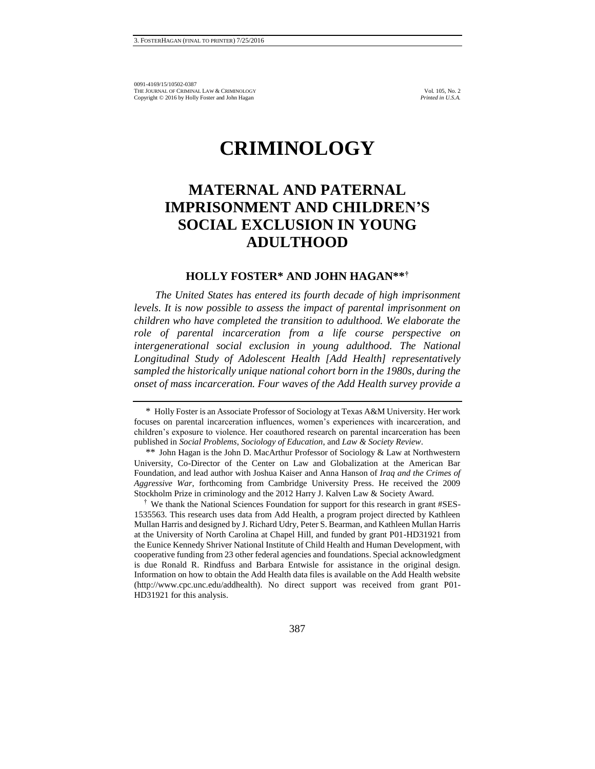## **CRIMINOLOGY**

## **MATERNAL AND PATERNAL IMPRISONMENT AND CHILDREN'S SOCIAL EXCLUSION IN YOUNG ADULTHOOD**

#### **HOLLY FOSTER\* AND JOHN HAGAN\*\*†**

*The United States has entered its fourth decade of high imprisonment levels. It is now possible to assess the impact of parental imprisonment on children who have completed the transition to adulthood. We elaborate the role of parental incarceration from a life course perspective on intergenerational social exclusion in young adulthood. The National Longitudinal Study of Adolescent Health [Add Health] representatively sampled the historically unique national cohort born in the 1980s, during the onset of mass incarceration. Four waves of the Add Health survey provide a* 

<sup>\*</sup> Holly Foster is an Associate Professor of Sociology at Texas A&M University. Her work focuses on parental incarceration influences, women's experiences with incarceration, and children's exposure to violence. Her coauthored research on parental incarceration has been published in *Social Problems*, *Sociology of Education*, and *Law & Society Review*.

<sup>\*\*</sup> John Hagan is the John D. MacArthur Professor of Sociology & Law at Northwestern University, Co-Director of the Center on Law and Globalization at the American Bar Foundation, and lead author with Joshua Kaiser and Anna Hanson of *Iraq and the Crimes of Aggressive War*, forthcoming from Cambridge University Press. He received the 2009 Stockholm Prize in criminology and the 2012 Harry J. Kalven Law & Society Award.

<sup>†</sup> We thank the National Sciences Foundation for support for this research in grant #SES-1535563. This research uses data from Add Health, a program project directed by Kathleen Mullan Harris and designed by J. Richard Udry, Peter S. Bearman, and Kathleen Mullan Harris at the University of North Carolina at Chapel Hill, and funded by grant P01-HD31921 from the Eunice Kennedy Shriver National Institute of Child Health and Human Development, with cooperative funding from 23 other federal agencies and foundations. Special acknowledgment is due Ronald R. Rindfuss and Barbara Entwisle for assistance in the original design. Information on how to obtain the Add Health data files is available on the Add Health website (http://www.cpc.unc.edu/addhealth). No direct support was received from grant P01- HD31921 for this analysis.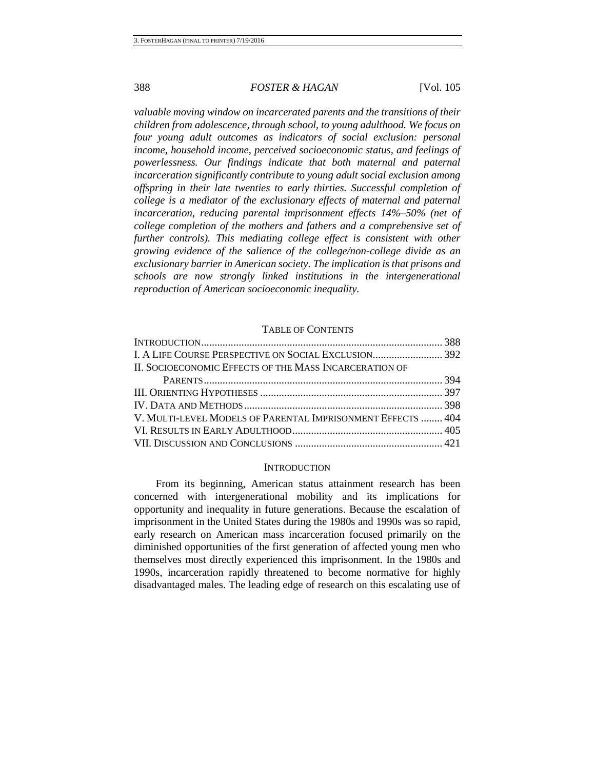*valuable moving window on incarcerated parents and the transitions of their children from adolescence, through school, to young adulthood. We focus on four young adult outcomes as indicators of social exclusion: personal income, household income, perceived socioeconomic status, and feelings of powerlessness. Our findings indicate that both maternal and paternal incarceration significantly contribute to young adult social exclusion among offspring in their late twenties to early thirties. Successful completion of college is a mediator of the exclusionary effects of maternal and paternal*  incarceration, reducing parental imprisonment effects 14%–50% (net of *college completion of the mothers and fathers and a comprehensive set of further controls). This mediating college effect is consistent with other growing evidence of the salience of the college/non-college divide as an exclusionary barrier in American society. The implication is that prisons and schools are now strongly linked institutions in the intergenerational reproduction of American socioeconomic inequality.*

#### TABLE OF CONTENTS

| II. SOCIOECONOMIC EFFECTS OF THE MASS INCARCERATION OF      |  |
|-------------------------------------------------------------|--|
|                                                             |  |
|                                                             |  |
|                                                             |  |
| V. MULTI-LEVEL MODELS OF PARENTAL IMPRISONMENT EFFECTS  404 |  |
|                                                             |  |
|                                                             |  |
|                                                             |  |

#### **INTRODUCTION**

From its beginning, American status attainment research has been concerned with intergenerational mobility and its implications for opportunity and inequality in future generations. Because the escalation of imprisonment in the United States during the 1980s and 1990s was so rapid, early research on American mass incarceration focused primarily on the diminished opportunities of the first generation of affected young men who themselves most directly experienced this imprisonment. In the 1980s and 1990s, incarceration rapidly threatened to become normative for highly disadvantaged males. The leading edge of research on this escalating use of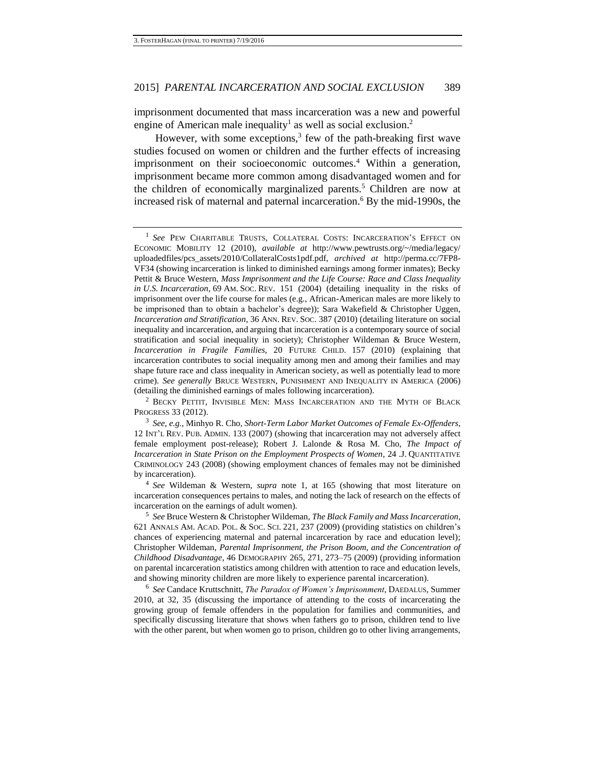<span id="page-3-1"></span><span id="page-3-0"></span>imprisonment documented that mass incarceration was a new and powerful engine of American male inequality<sup>1</sup> as well as social exclusion.<sup>2</sup>

However, with some exceptions, $3$  few of the path-breaking first wave studies focused on women or children and the further effects of increasing imprisonment on their socioeconomic outcomes.<sup>4</sup> Within a generation, imprisonment became more common among disadvantaged women and for the children of economically marginalized parents.<sup>5</sup> Children are now at increased risk of maternal and paternal incarceration.<sup>6</sup> By the mid-1990s, the

<sup>2</sup> BECKY PETTIT, INVISIBLE MEN: MASS INCARCERATION AND THE MYTH OF BLACK PROGRESS 33 (2012).

3 *See, e.g.*, Minhyo R. Cho, *Short-Term Labor Market Outcomes of Female Ex-Offenders*, 12 INT'L REV. PUB. ADMIN. 133 (2007) (showing that incarceration may not adversely affect female employment post-release); Robert J. Lalonde & Rosa M. Cho, *The Impact of Incarceration in State Prison on the Employment Prospects of Women*, 24 .J. QUANTITATIVE CRIMINOLOGY 243 (2008) (showing employment chances of females may not be diminished by incarceration).

4 *See* Wildeman & Western, *supra* note [1,](#page-3-0) at 165 (showing that most literature on incarceration consequences pertains to males, and noting the lack of research on the effects of incarceration on the earnings of adult women).

5 *See* Bruce Western & Christopher Wildeman, *The Black Family and Mass Incarceration*, 621 ANNALS AM. ACAD. POL. & SOC. SCI. 221, 237 (2009) (providing statistics on children's chances of experiencing maternal and paternal incarceration by race and education level); Christopher Wildeman, *Parental Imprisonment, the Prison Boom, and the Concentration of Childhood Disadvantage*, 46 DEMOGRAPHY 265, 271, 273–75 (2009) (providing information on parental incarceration statistics among children with attention to race and education levels, and showing minority children are more likely to experience parental incarceration).

6 *See* Candace Kruttschnitt, *The Paradox of Women's Imprisonment*, DAEDALUS*,* Summer 2010, at 32, 35 (discussing the importance of attending to the costs of incarcerating the growing group of female offenders in the population for families and communities, and specifically discussing literature that shows when fathers go to prison, children tend to live with the other parent, but when women go to prison, children go to other living arrangements,

<span id="page-3-3"></span><span id="page-3-2"></span><sup>&</sup>lt;sup>1</sup> See PEW CHARITABLE TRUSTS, COLLATERAL COSTS: INCARCERATION'S EFFECT ON ECONOMIC MOBILITY 12 (2010), *available at* http://www.pewtrusts.org/~/media/legacy/ uploadedfiles/pcs\_assets/2010/CollateralCosts1pdf.pdf, *archived at* http://perma.cc/7FP8- VF34 (showing incarceration is linked to diminished earnings among former inmates); Becky Pettit & Bruce Western, *Mass Imprisonment and the Life Course: Race and Class Inequality in U.S. Incarceration*, 69 AM. SOC. REV. 151 (2004) (detailing inequality in the risks of imprisonment over the life course for males (e.g., African-American males are more likely to be imprisoned than to obtain a bachelor's degree)); Sara Wakefield & Christopher Uggen, *Incarceration and Stratification*, 36 ANN. REV. SOC. 387 (2010) (detailing literature on social inequality and incarceration, and arguing that incarceration is a contemporary source of social stratification and social inequality in society); Christopher Wildeman & Bruce Western, *Incarceration in Fragile Families*, 20 FUTURE CHILD. 157 (2010) (explaining that incarceration contributes to social inequality among men and among their families and may shape future race and class inequality in American society, as well as potentially lead to more crime). *See generally* BRUCE WESTERN, PUNISHMENT AND INEQUALITY IN AMERICA (2006) (detailing the diminished earnings of males following incarceration).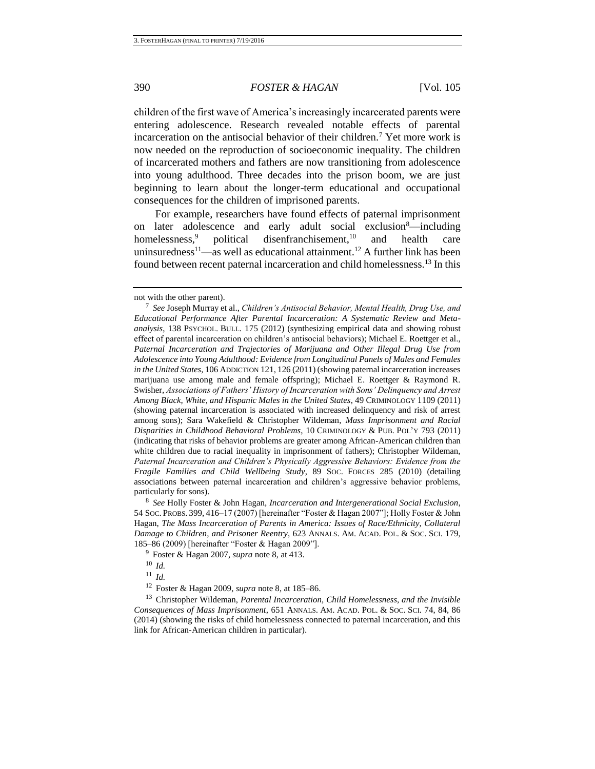<span id="page-4-1"></span>children of the first wave of America's increasingly incarcerated parents were entering adolescence. Research revealed notable effects of parental incarceration on the antisocial behavior of their children.<sup>7</sup> Yet more work is now needed on the reproduction of socioeconomic inequality. The children of incarcerated mothers and fathers are now transitioning from adolescence into young adulthood. Three decades into the prison boom, we are just beginning to learn about the longer-term educational and occupational consequences for the children of imprisoned parents.

<span id="page-4-0"></span>For example, researchers have found effects of paternal imprisonment on later adolescence and early adult social exclusion $\delta$ —including homelessness,  $9$  political disenfranchisement,  $10$  and health care uninsuredness<sup>11</sup>—as well as educational attainment.<sup>12</sup> A further link has been found between recent paternal incarceration and child homelessness.<sup>13</sup> In this

<sup>12</sup> Foster & Hagan 2009, *supra* not[e 8,](#page-4-0) at 185–86.

<sup>13</sup> Christopher Wildeman, *Parental Incarceration, Child Homelessness, and the Invisible Consequences of Mass Imprisonment*, 651 ANNALS. AM. ACAD. POL. & SOC. SCI. 74, 84, 86 (2014) (showing the risks of child homelessness connected to paternal incarceration, and this link for African-American children in particular).

not with the other parent).

<sup>7</sup> *See* Joseph Murray et al., *Children's Antisocial Behavior, Mental Health, Drug Use, and Educational Performance After Parental Incarceration: A Systematic Review and Metaanalysis*, 138 PSYCHOL. BULL. 175 (2012) (synthesizing empirical data and showing robust effect of parental incarceration on children's antisocial behaviors); Michael E. Roettger et al., *Paternal Incarceration and Trajectories of Marijuana and Other Illegal Drug Use from Adolescence into Young Adulthood: Evidence from Longitudinal Panels of Males and Females in the United States*, 106 ADDICTION 121, 126 (2011) (showing paternal incarceration increases marijuana use among male and female offspring); Michael E. Roettger & Raymond R. Swisher, *Associations of Fathers' History of Incarceration with Sons' Delinquency and Arrest Among Black, White, and Hispanic Males in the United States*, 49 CRIMINOLOGY 1109 (2011) (showing paternal incarceration is associated with increased delinquency and risk of arrest among sons); Sara Wakefield & Christopher Wildeman, *Mass Imprisonment and Racial Disparities in Childhood Behavioral Problems*, 10 CRIMINOLOGY & PUB. POL'Y 793 (2011) (indicating that risks of behavior problems are greater among African-American children than white children due to racial inequality in imprisonment of fathers); Christopher Wildeman, *Paternal Incarceration and Children's Physically Aggressive Behaviors: Evidence from the Fragile Families and Child Wellbeing Study*, 89 SOC. FORCES 285 (2010) (detailing associations between paternal incarceration and children's aggressive behavior problems, particularly for sons).

<sup>8</sup> *See* Holly Foster & John Hagan, *Incarceration and Intergenerational Social Exclusion*, 54 SOC. PROBS. 399, 416–17 (2007) [hereinafter "Foster & Hagan 2007"]; Holly Foster & John Hagan, *The Mass Incarceration of Parents in America: Issues of Race/Ethnicity, Collateral Damage to Children, and Prisoner Reentry*, 623 ANNALS. AM. ACAD. POL. & SOC. SCI. 179, 185–86 (2009) [hereinafter "Foster & Hagan 2009"].

<sup>9</sup> Foster & Hagan 2007, *supra* note [8,](#page-4-0) at 413.

<sup>10</sup> *Id.*

<sup>11</sup> *Id.*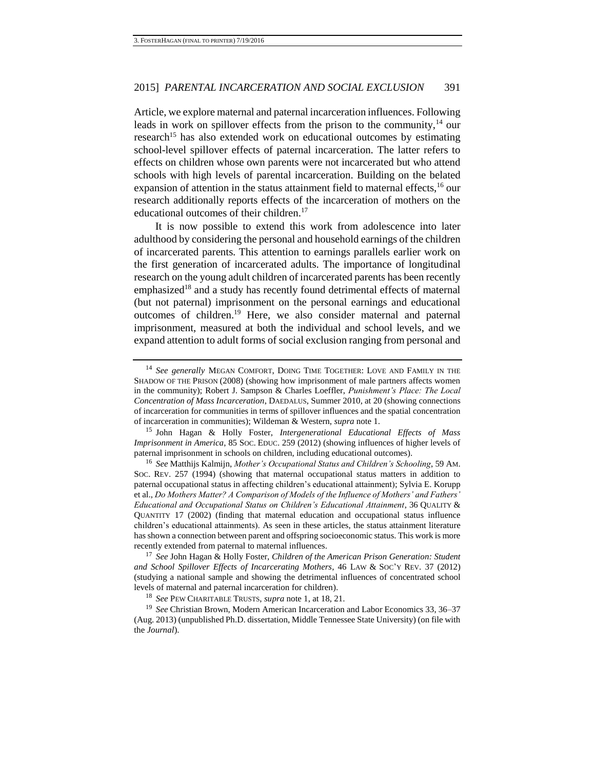<span id="page-5-0"></span>Article, we explore maternal and paternal incarceration influences. Following leads in work on spillover effects from the prison to the community,  $14$  our research<sup>15</sup> has also extended work on educational outcomes by estimating school-level spillover effects of paternal incarceration. The latter refers to effects on children whose own parents were not incarcerated but who attend schools with high levels of parental incarceration. Building on the belated expansion of attention in the status attainment field to maternal effects,<sup>16</sup> our research additionally reports effects of the incarceration of mothers on the educational outcomes of their children.<sup>17</sup>

<span id="page-5-1"></span>It is now possible to extend this work from adolescence into later adulthood by considering the personal and household earnings of the children of incarcerated parents. This attention to earnings parallels earlier work on the first generation of incarcerated adults. The importance of longitudinal research on the young adult children of incarcerated parents has been recently emphasized<sup>18</sup> and a study has recently found detrimental effects of maternal (but not paternal) imprisonment on the personal earnings and educational outcomes of children.<sup>19</sup> Here, we also consider maternal and paternal imprisonment, measured at both the individual and school levels, and we expand attention to adult forms of social exclusion ranging from personal and

<sup>15</sup> John Hagan & Holly Foster, *Intergenerational Educational Effects of Mass Imprisonment in America*, 85 SOC. EDUC. 259 (2012) (showing influences of higher levels of paternal imprisonment in schools on children, including educational outcomes).

<sup>17</sup> *See* John Hagan & Holly Foster, *Children of the American Prison Generation: Student and School Spillover Effects of Incarcerating Mothers*, 46 LAW & SOC'Y REV. 37 (2012) (studying a national sample and showing the detrimental influences of concentrated school levels of maternal and paternal incarceration for children).

<span id="page-5-2"></span><sup>14</sup> *See generally* MEGAN COMFORT, DOING TIME TOGETHER: LOVE AND FAMILY IN THE SHADOW OF THE PRISON (2008) (showing how imprisonment of male partners affects women in the community); Robert J. Sampson & Charles Loeffler, *Punishment's Place: The Local Concentration of Mass Incarceration*, DAEDALUS, Summer 2010, at 20 (showing connections of incarceration for communities in terms of spillover influences and the spatial concentration of incarceration in communities); Wildeman & Western, *supra* not[e 1.](#page-3-0)

<sup>16</sup> *See* Matthijs Kalmijn, *Mother's Occupational Status and Children's Schooling*, 59 AM. SOC. REV. 257 (1994) (showing that maternal occupational status matters in addition to paternal occupational status in affecting children's educational attainment); Sylvia E. Korupp et al., *Do Mothers Matter? A Comparison of Models of the Influence of Mothers' and Fathers' Educational and Occupational Status on Children's Educational Attainment*, 36 QUALITY & QUANTITY 17 (2002) (finding that maternal education and occupational status influence children's educational attainments). As seen in these articles, the status attainment literature has shown a connection between parent and offspring socioeconomic status. This work is more recently extended from paternal to maternal influences.

<sup>18</sup> *See* PEW CHARITABLE TRUSTS, *supra* not[e 1,](#page-3-0) at 18, 21.

<sup>19</sup> *See* Christian Brown, Modern American Incarceration and Labor Economics 33, 36–37 (Aug. 2013) (unpublished Ph.D. dissertation, Middle Tennessee State University) (on file with the *Journal*).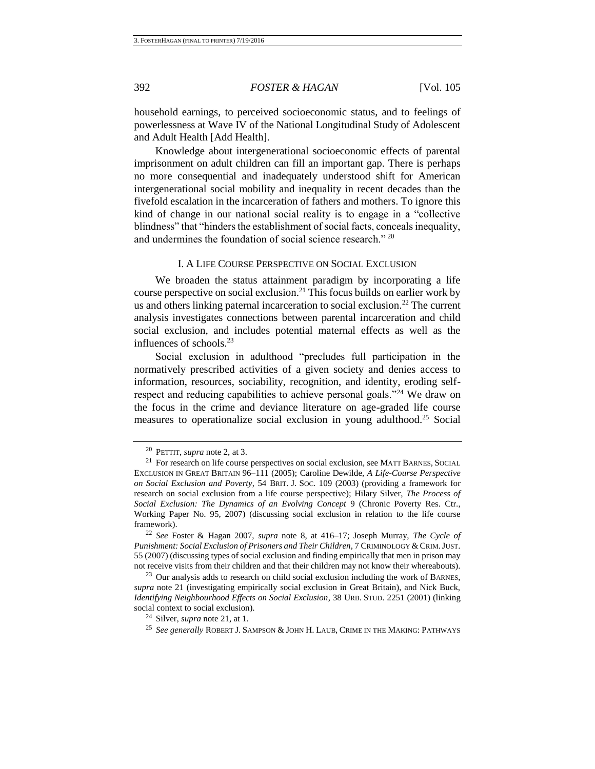household earnings, to perceived socioeconomic status, and to feelings of powerlessness at Wave IV of the National Longitudinal Study of Adolescent and Adult Health [Add Health].

Knowledge about intergenerational socioeconomic effects of parental imprisonment on adult children can fill an important gap. There is perhaps no more consequential and inadequately understood shift for American intergenerational social mobility and inequality in recent decades than the fivefold escalation in the incarceration of fathers and mothers. To ignore this kind of change in our national social reality is to engage in a "collective blindness" that "hinders the establishment of social facts, conceals inequality, and undermines the foundation of social science research." <sup>20</sup>

#### <span id="page-6-0"></span>I. A LIFE COURSE PERSPECTIVE ON SOCIAL EXCLUSION

We broaden the status attainment paradigm by incorporating a life course perspective on social exclusion.<sup>21</sup> This focus builds on earlier work by us and others linking paternal incarceration to social exclusion.<sup>22</sup> The current analysis investigates connections between parental incarceration and child social exclusion, and includes potential maternal effects as well as the influences of schools.<sup>23</sup>

<span id="page-6-1"></span>Social exclusion in adulthood "precludes full participation in the normatively prescribed activities of a given society and denies access to information, resources, sociability, recognition, and identity, eroding selfrespect and reducing capabilities to achieve personal goals."<sup>24</sup> We draw on the focus in the crime and deviance literature on age-graded life course measures to operationalize social exclusion in young adulthood.<sup>25</sup> Social

<sup>22</sup> *See* Foster & Hagan 2007, *supra* note [8,](#page-4-0) at 416–17; Joseph Murray, *The Cycle of Punishment: Social Exclusion of Prisoners and Their Children*, 7 CRIMINOLOGY &CRIM.JUST. 55 (2007) (discussing types of social exclusion and finding empirically that men in prison may not receive visits from their children and that their children may not know their whereabouts).

 $23$  Our analysis adds to research on child social exclusion including the work of BARNES, *supra* note [21](#page-6-0) (investigating empirically social exclusion in Great Britain), and Nick Buck, *Identifying Neighbourhood Effects on Social Exclusion*, 38 URB. STUD. 2251 (2001) (linking social context to social exclusion).

<sup>20</sup> PETTIT, *supra* note [2,](#page-3-1) at 3.

 $21$  For research on life course perspectives on social exclusion, see MATT BARNES, SOCIAL EXCLUSION IN GREAT BRITAIN 96–111 (2005); Caroline Dewilde, *A Life-Course Perspective on Social Exclusion and Poverty*, 54 BRIT. J. SOC. 109 (2003) (providing a framework for research on social exclusion from a life course perspective); Hilary Silver, *The Process of Social Exclusion: The Dynamics of an Evolving Concept* 9 (Chronic Poverty Res. Ctr., Working Paper No. 95, 2007) (discussing social exclusion in relation to the life course framework).

<sup>24</sup> Silver, *supra* note [21,](#page-6-0) at 1.

<sup>25</sup> *See generally* ROBERT J. SAMPSON & JOHN H. LAUB, CRIME IN THE MAKING: PATHWAYS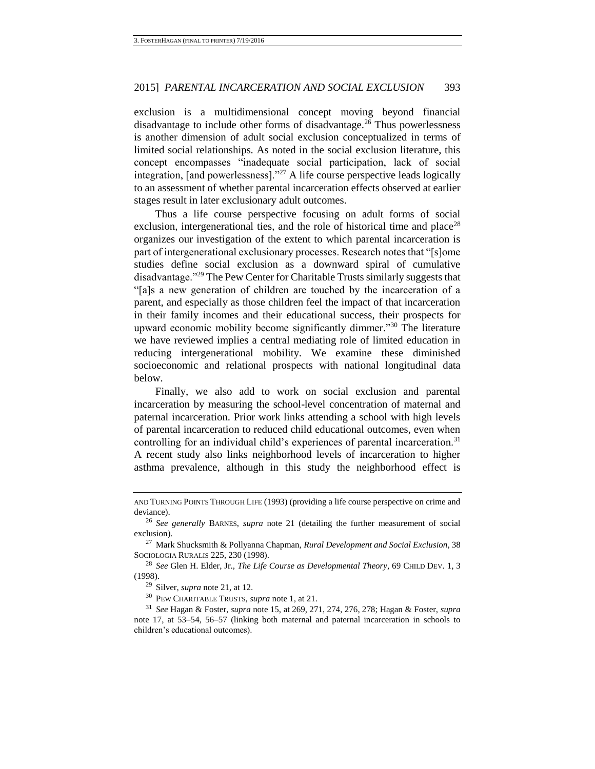exclusion is a multidimensional concept moving beyond financial disadvantage to include other forms of disadvantage.<sup>26</sup> Thus powerlessness is another dimension of adult social exclusion conceptualized in terms of limited social relationships. As noted in the social exclusion literature, this concept encompasses "inadequate social participation, lack of social integration, [and powerlessness]."<sup>27</sup> A life course perspective leads logically to an assessment of whether parental incarceration effects observed at earlier stages result in later exclusionary adult outcomes.

Thus a life course perspective focusing on adult forms of social exclusion, intergenerational ties, and the role of historical time and place<sup>28</sup> organizes our investigation of the extent to which parental incarceration is part of intergenerational exclusionary processes. Research notes that "[s]ome studies define social exclusion as a downward spiral of cumulative disadvantage."<sup>29</sup> The Pew Center for Charitable Trusts similarly suggests that "[a]s a new generation of children are touched by the incarceration of a parent, and especially as those children feel the impact of that incarceration in their family incomes and their educational success, their prospects for upward economic mobility become significantly dimmer."<sup>30</sup> The literature we have reviewed implies a central mediating role of limited education in reducing intergenerational mobility. We examine these diminished socioeconomic and relational prospects with national longitudinal data below.

Finally, we also add to work on social exclusion and parental incarceration by measuring the school-level concentration of maternal and paternal incarceration. Prior work links attending a school with high levels of parental incarceration to reduced child educational outcomes, even when controlling for an individual child's experiences of parental incarceration.<sup>31</sup> A recent study also links neighborhood levels of incarceration to higher asthma prevalence, although in this study the neighborhood effect is

<sup>30</sup> PEW CHARITABLE TRUSTS, *supra* note [1,](#page-3-0) at 21.

AND TURNING POINTS THROUGH LIFE (1993) (providing a life course perspective on crime and deviance).

<sup>26</sup> *See generally* BARNES, *supra* note [21](#page-6-0) (detailing the further measurement of social exclusion).

<sup>27</sup> Mark Shucksmith & Pollyanna Chapman, *Rural Development and Social Exclusion*, 38 SOCIOLOGIA RURALIS 225, 230 (1998).

<sup>28</sup> *See* Glen H. Elder, Jr., *The Life Course as Developmental Theory*, 69 CHILD DEV. 1, 3 (1998).

<sup>29</sup> Silver, *supra* note [21,](#page-6-0) at 12.

<sup>31</sup> *See* Hagan & Foster, *supra* note [15,](#page-5-0) at 269, 271, 274, 276, 278; Hagan & Foster, *supra* note [17,](#page-5-1) at 53–54, 56–57 (linking both maternal and paternal incarceration in schools to children's educational outcomes).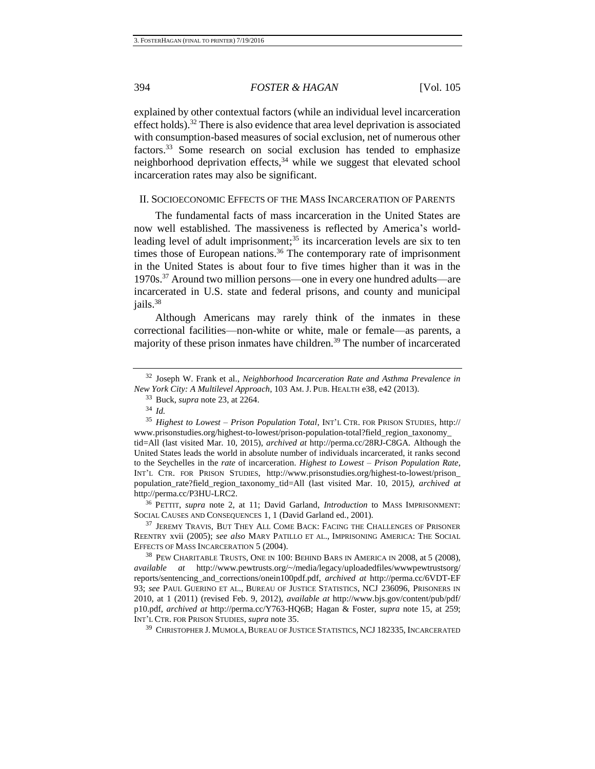explained by other contextual factors (while an individual level incarceration effect holds).<sup>32</sup> There is also evidence that area level deprivation is associated with consumption-based measures of social exclusion, net of numerous other factors.<sup>33</sup> Some research on social exclusion has tended to emphasize neighborhood deprivation effects, $34$  while we suggest that elevated school incarceration rates may also be significant.

#### <span id="page-8-0"></span>II. SOCIOECONOMIC EFFECTS OF THE MASS INCARCERATION OF PARENTS

<span id="page-8-2"></span>The fundamental facts of mass incarceration in the United States are now well established. The massiveness is reflected by America's worldleading level of adult imprisonment; $35$  its incarceration levels are six to ten times those of European nations.<sup>36</sup> The contemporary rate of imprisonment in the United States is about four to five times higher than it was in the 1970s.<sup>37</sup> Around two million persons—one in every one hundred adults—are incarcerated in U.S. state and federal prisons, and county and municipal jails.<sup>38</sup>

Although Americans may rarely think of the inmates in these correctional facilities—non-white or white, male or female—as parents, a majority of these prison inmates have children.<sup>39</sup> The number of incarcerated

<sup>36</sup> PETTIT, *supra* note [2,](#page-3-1) at 11; David Garland, *Introduction* to MASS IMPRISONMENT: SOCIAL CAUSES AND CONSEQUENCES 1, 1 (David Garland ed., 2001).

<sup>32</sup> Joseph W. Frank et al., *Neighborhood Incarceration Rate and Asthma Prevalence in New York City: A Multilevel Approach*, 103 AM. J. PUB. HEALTH e38, e42 (2013).

<span id="page-8-1"></span><sup>33</sup> Buck, *supra* not[e 23,](#page-6-1) at 2264.

<sup>34</sup> *Id.*

<sup>35</sup> *Highest to Lowest – Prison Population Total*, INT'L CTR. FOR PRISON STUDIES, http:// www.prisonstudies.org/highest-to-lowest/prison-population-total?field\_region\_taxonomy\_ tid=All (last visited Mar. 10, 2015), *archived at* http://perma.cc/28RJ-C8GA*.* Although the United States leads the world in absolute number of individuals incarcerated, it ranks second to the Seychelles in the *rate* of incarceration. *Highest to Lowest – Prison Population Rate*, INT'L CTR. FOR PRISON STUDIES, http://www.prisonstudies.org/highest-to-lowest/prison\_ population\_rate?field\_region\_taxonomy\_tid=All (last visited Mar. 10, 2015*), archived at*  http://perma.cc/P3HU-LRC2.

<sup>&</sup>lt;sup>37</sup> JEREMY TRAVIS, BUT THEY ALL COME BACK: FACING THE CHALLENGES OF PRISONER REENTRY xvii (2005); *see also* MARY PATILLO ET AL., IMPRISONING AMERICA: THE SOCIAL EFFECTS OF MASS INCARCERATION 5 (2004).

<sup>38</sup> PEW CHARITABLE TRUSTS, ONE IN 100: BEHIND BARS IN AMERICA IN 2008, at 5 (2008), *available at* http://www.pewtrusts.org/~/media/legacy/uploadedfiles/wwwpewtrustsorg/ reports/sentencing\_and\_corrections/onein100pdf.pdf, *archived at* http://perma.cc/6VDT-EF 93; *see* PAUL GUERINO ET AL., BUREAU OF JUSTICE STATISTICS, NCJ 236096, PRISONERS IN 2010, at 1 (2011) (revised Feb. 9, 2012), *available at* http://www.bjs.gov/content/pub/pdf/ p10.pdf, *archived at* http://perma.cc/Y763-HQ6B; Hagan & Foster, *supra* note [15,](#page-5-0) at 259; INT'L CTR. FOR PRISON STUDIES, *supra* not[e 35.](#page-8-0)

<sup>&</sup>lt;sup>39</sup> CHRISTOPHER J. MUMOLA, BUREAU OF JUSTICE STATISTICS, NCJ 182335, INCARCERATED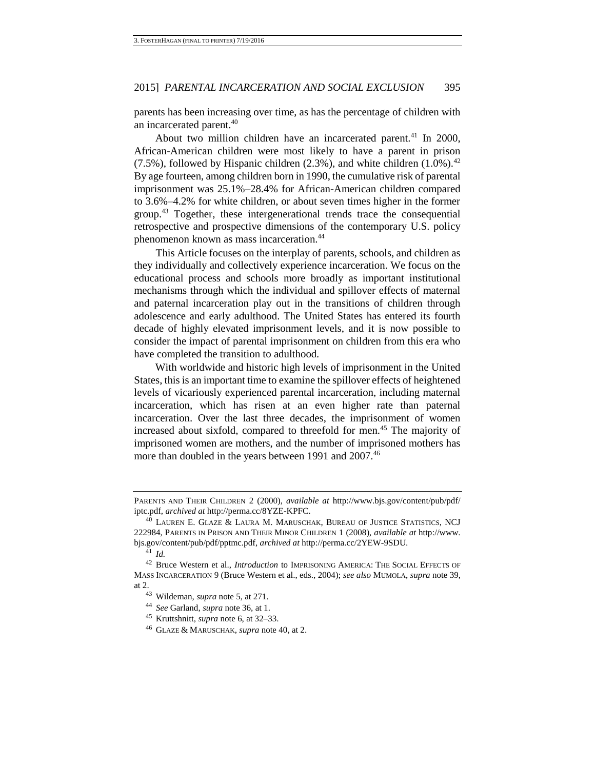<span id="page-9-0"></span>parents has been increasing over time, as has the percentage of children with an incarcerated parent.<sup>40</sup>

About two million children have an incarcerated parent.<sup>41</sup> In 2000, African-American children were most likely to have a parent in prison  $(7.5\%)$ , followed by Hispanic children  $(2.3\%)$ , and white children  $(1.0\%)$ <sup>42</sup> By age fourteen, among children born in 1990, the cumulative risk of parental imprisonment was 25.1%–28.4% for African-American children compared to 3.6%–4.2% for white children, or about seven times higher in the former group.<sup>43</sup> Together, these intergenerational trends trace the consequential retrospective and prospective dimensions of the contemporary U.S. policy phenomenon known as mass incarceration.<sup>44</sup>

This Article focuses on the interplay of parents, schools, and children as they individually and collectively experience incarceration. We focus on the educational process and schools more broadly as important institutional mechanisms through which the individual and spillover effects of maternal and paternal incarceration play out in the transitions of children through adolescence and early adulthood. The United States has entered its fourth decade of highly elevated imprisonment levels, and it is now possible to consider the impact of parental imprisonment on children from this era who have completed the transition to adulthood.

With worldwide and historic high levels of imprisonment in the United States, this is an important time to examine the spillover effects of heightened levels of vicariously experienced parental incarceration, including maternal incarceration, which has risen at an even higher rate than paternal incarceration. Over the last three decades, the imprisonment of women increased about sixfold, compared to threefold for men.<sup>45</sup> The majority of imprisoned women are mothers, and the number of imprisoned mothers has more than doubled in the years between 1991 and 2007.<sup>46</sup>

PARENTS AND THEIR CHILDREN 2 (2000), *available at* http://www.bjs.gov/content/pub/pdf/ iptc.pdf, *archived at* http://perma.cc/8YZE-KPFC.

 $^{40}$  Lauren E. Glaze & Laura M. Maruschak, Bureau of Justice Statistics, NCJ 222984, PARENTS IN PRISON AND THEIR MINOR CHILDREN 1 (2008), *available at* http://www. bjs.gov/content/pub/pdf/pptmc.pdf, *archived at* http://perma.cc/2YEW-9SDU.

<sup>41</sup> *Id.*

<sup>42</sup> Bruce Western et al., *Introduction* to IMPRISONING AMERICA: THE SOCIAL EFFECTS OF MASS INCARCERATION 9 (Bruce Western et al., eds., 2004); *see also* MUMOLA, *supra* not[e 39,](#page-8-1) at 2.

<sup>43</sup> Wildeman, *supra* note [5,](#page-3-2) at 271.

<sup>44</sup> *See* Garland, *supra* not[e 36,](#page-8-2) at 1.

<sup>45</sup> Kruttshnitt, *supra* not[e 6,](#page-3-3) at 32–33.

<sup>46</sup> GLAZE & MARUSCHAK, *supra* note [40,](#page-9-0) at 2.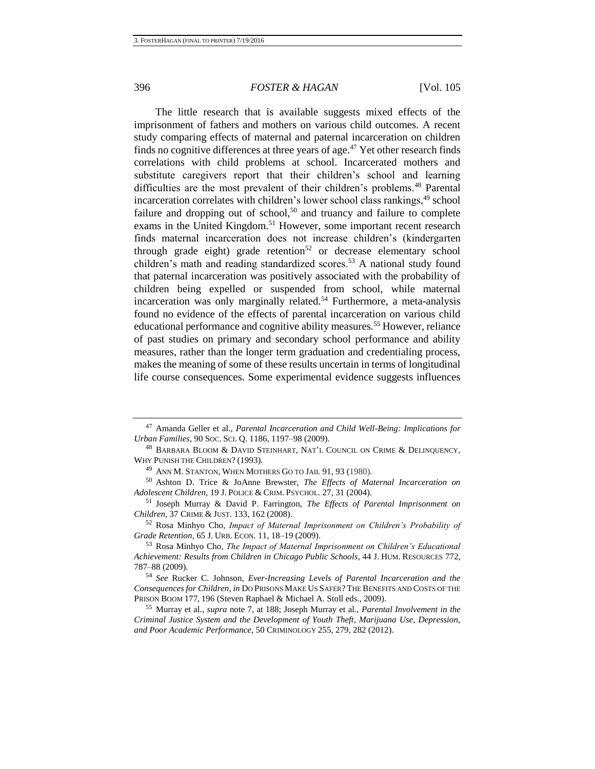<span id="page-10-5"></span><span id="page-10-3"></span><span id="page-10-2"></span><span id="page-10-1"></span><span id="page-10-0"></span>The little research that is available suggests mixed effects of the imprisonment of fathers and mothers on various child outcomes. A recent study comparing effects of maternal and paternal incarceration on children finds no cognitive differences at three years of age.<sup>47</sup> Yet other research finds correlations with child problems at school. Incarcerated mothers and substitute caregivers report that their children's school and learning difficulties are the most prevalent of their children's problems.<sup>48</sup> Parental incarceration correlates with children's lower school class rankings,<sup>49</sup> school failure and dropping out of school,<sup>50</sup> and truancy and failure to complete exams in the United Kingdom.<sup>51</sup> However, some important recent research finds maternal incarceration does not increase children's (kindergarten through grade eight) grade retention<sup>52</sup> or decrease elementary school children's math and reading standardized scores.<sup>53</sup> A national study found that paternal incarceration was positively associated with the probability of children being expelled or suspended from school, while maternal incarceration was only marginally related.<sup>54</sup> Furthermore, a meta-analysis found no evidence of the effects of parental incarceration on various child educational performance and cognitive ability measures.<sup>55</sup> However, reliance of past studies on primary and secondary school performance and ability measures, rather than the longer term graduation and credentialing process, makes the meaning of some of these results uncertain in terms of longitudinal life course consequences. Some experimental evidence suggests influences

<sup>54</sup> *See* Rucker C. Johnson, *Ever-Increasing Levels of Parental Incarceration and the Consequences for Children*, *in* DO PRISONS MAKE US SAFER? THE BENEFITS AND COSTS OF THE PRISON BOOM 177, 196 (Steven Raphael & Michael A. Stoll eds., 2009).

<span id="page-10-4"></span><sup>47</sup> Amanda Geller et al., *Parental Incarceration and Child Well-Being: Implications for Urban Families*, 90 SOC. SCI. Q. 1186, 1197–98 (2009).

<sup>48</sup> BARBARA BLOOM & DAVID STEINHART, NAT'L COUNCIL ON CRIME & DELINQUENCY, WHY PUNISH THE CHILDREN? (1993).

<sup>&</sup>lt;sup>49</sup> ANN M. STANTON, WHEN MOTHERS GO TO JAIL 91, 93 (1980).

<sup>50</sup> Ashton D. Trice & JoAnne Brewster, *The Effects of Maternal Incarceration on Adolescent Children*, 19 J. POLICE & CRIM. PSYCHOL. 27, 31 (2004).

<sup>51</sup> Joseph Murray & David P. Farrington, *The Effects of Parental Imprisonment on Children*, 37 CRIME & JUST. 133, 162 (2008).

<sup>52</sup> Rosa Minhyo Cho, *Impact of Maternal Imprisonment on Children's Probability of Grade Retention*, 65 J. URB. ECON. 11, 18–19 (2009).

<sup>53</sup> Rosa Minhyo Cho, *The Impact of Maternal Imprisonment on Children's Educational Achievement: Results from Children in Chicago Public Schools*, 44 J. HUM. RESOURCES 772, 787–88 (2009).

<sup>55</sup> Murray et al., *supra* note [7,](#page-4-1) at 188; Joseph Murray et al., *Parental Involvement in the Criminal Justice System and the Development of Youth Theft, Marijuana Use, Depression, and Poor Academic Performance*, 50 CRIMINOLOGY 255, 279, 282 (2012).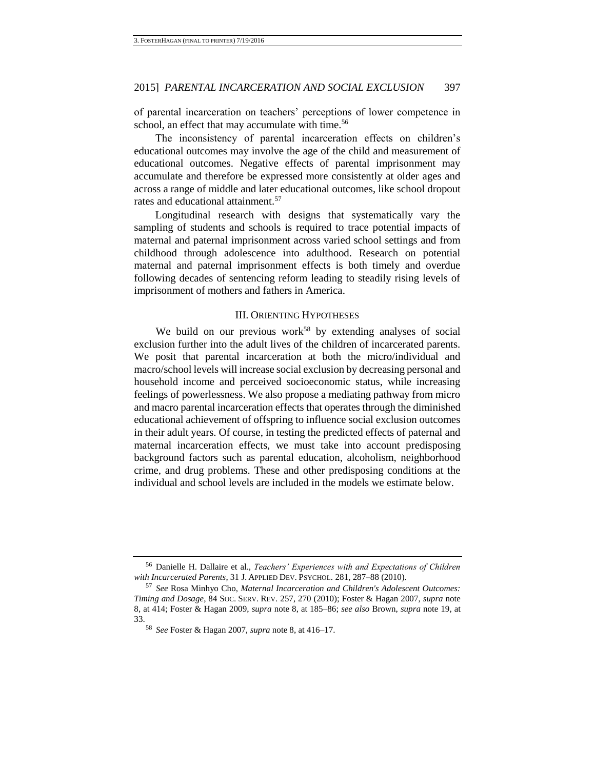of parental incarceration on teachers' perceptions of lower competence in school, an effect that may accumulate with time.<sup>56</sup>

The inconsistency of parental incarceration effects on children's educational outcomes may involve the age of the child and measurement of educational outcomes. Negative effects of parental imprisonment may accumulate and therefore be expressed more consistently at older ages and across a range of middle and later educational outcomes, like school dropout rates and educational attainment.<sup>57</sup>

Longitudinal research with designs that systematically vary the sampling of students and schools is required to trace potential impacts of maternal and paternal imprisonment across varied school settings and from childhood through adolescence into adulthood. Research on potential maternal and paternal imprisonment effects is both timely and overdue following decades of sentencing reform leading to steadily rising levels of imprisonment of mothers and fathers in America.

#### III. ORIENTING HYPOTHESES

We build on our previous work<sup>58</sup> by extending analyses of social exclusion further into the adult lives of the children of incarcerated parents. We posit that parental incarceration at both the micro/individual and macro/school levels will increase social exclusion by decreasing personal and household income and perceived socioeconomic status, while increasing feelings of powerlessness. We also propose a mediating pathway from micro and macro parental incarceration effects that operates through the diminished educational achievement of offspring to influence social exclusion outcomes in their adult years. Of course, in testing the predicted effects of paternal and maternal incarceration effects, we must take into account predisposing background factors such as parental education, alcoholism, neighborhood crime, and drug problems. These and other predisposing conditions at the individual and school levels are included in the models we estimate below.

<sup>56</sup> Danielle H. Dallaire et al., *Teachers' Experiences with and Expectations of Children with Incarcerated Parents*, 31 J. APPLIED DEV. PSYCHOL. 281, 287–88 (2010).

<sup>57</sup> *See* Rosa Minhyo Cho, *Maternal Incarceration and Children's Adolescent Outcomes: Timing and Dosage*, 84 SOC. SERV. REV. 257, 270 (2010); Foster & Hagan 2007, *supra* note [8,](#page-4-0) at 414; Foster & Hagan 2009, *supra* note [8,](#page-4-0) at 185–86; *see also* Brown, *supra* not[e 19,](#page-5-2) at 33.

<sup>58</sup> *See* Foster & Hagan 2007, *supra* note [8,](#page-4-0) at 416–17.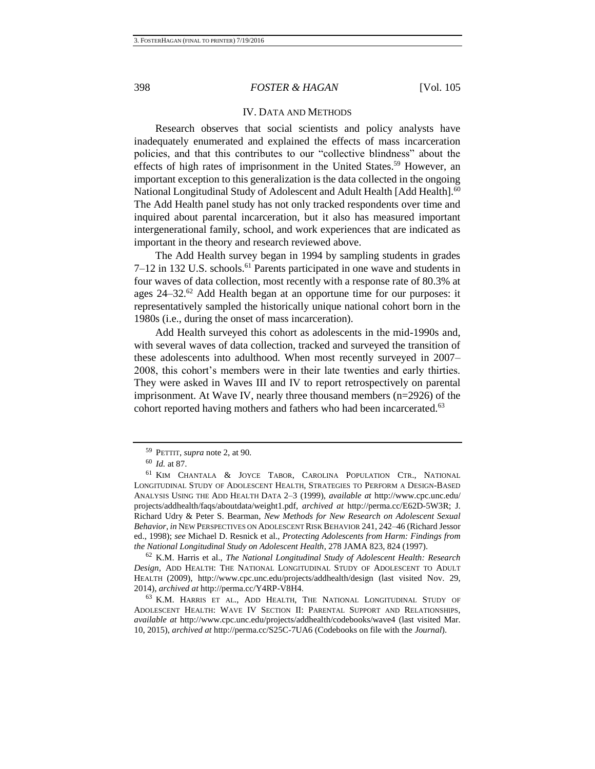#### IV. DATA AND METHODS

Research observes that social scientists and policy analysts have inadequately enumerated and explained the effects of mass incarceration policies, and that this contributes to our "collective blindness" about the effects of high rates of imprisonment in the United States.<sup>59</sup> However, an important exception to this generalization is the data collected in the ongoing National Longitudinal Study of Adolescent and Adult Health [Add Health].<sup>60</sup> The Add Health panel study has not only tracked respondents over time and inquired about parental incarceration, but it also has measured important intergenerational family, school, and work experiences that are indicated as important in the theory and research reviewed above.

The Add Health survey began in 1994 by sampling students in grades 7–12 in 132 U.S. schools.<sup>61</sup> Parents participated in one wave and students in four waves of data collection, most recently with a response rate of 80.3% at ages  $24-32$ <sup>62</sup> Add Health began at an opportune time for our purposes: it representatively sampled the historically unique national cohort born in the 1980s (i.e., during the onset of mass incarceration).

Add Health surveyed this cohort as adolescents in the mid-1990s and, with several waves of data collection, tracked and surveyed the transition of these adolescents into adulthood. When most recently surveyed in 2007– 2008, this cohort's members were in their late twenties and early thirties. They were asked in Waves III and IV to report retrospectively on parental imprisonment. At Wave IV, nearly three thousand members (n=2926) of the cohort reported having mothers and fathers who had been incarcerated.<sup>63</sup>

<sup>62</sup> K.M. Harris et al., *The National Longitudinal Study of Adolescent Health: Research Design*, ADD HEALTH: THE NATIONAL LONGITUDINAL STUDY OF ADOLESCENT TO ADULT HEALTH (2009), http://www.cpc.unc.edu/projects/addhealth/design (last visited Nov. 29, 2014), *archived at* http://perma.cc/Y4RP-V8H4.

<sup>63</sup> K.M. HARRIS ET AL., ADD HEALTH, THE NATIONAL LONGITUDINAL STUDY OF ADOLESCENT HEALTH: WAVE IV SECTION II: PARENTAL SUPPORT AND RELATIONSHIPS, *available at* http://www.cpc.unc.edu/projects/addhealth/codebooks/wave4 (last visited Mar. 10, 2015), *archived at* http://perma.cc/S25C-7UA6 (Codebooks on file with the *Journal*).

<sup>59</sup> PETTIT, *supra* note [2,](#page-3-1) at 90.

<sup>60</sup> *Id.* at 87.

<sup>61</sup> KIM CHANTALA & JOYCE TABOR, CAROLINA POPULATION CTR., NATIONAL LONGITUDINAL STUDY OF ADOLESCENT HEALTH, STRATEGIES TO PERFORM A DESIGN-BASED ANALYSIS USING THE ADD HEALTH DATA 2–3 (1999), *available at* http://www.cpc.unc.edu/ projects/addhealth/faqs/aboutdata/weight1.pdf, *archived at* http://perma.cc/E62D-5W3R; J. Richard Udry & Peter S. Bearman, *New Methods for New Research on Adolescent Sexual Behavior*, *in* NEW PERSPECTIVES ON ADOLESCENT RISK BEHAVIOR 241, 242–46 (Richard Jessor ed., 1998); *see* Michael D. Resnick et al., *Protecting Adolescents from Harm: Findings from the National Longitudinal Study on Adolescent Health*, 278 JAMA 823, 824 (1997).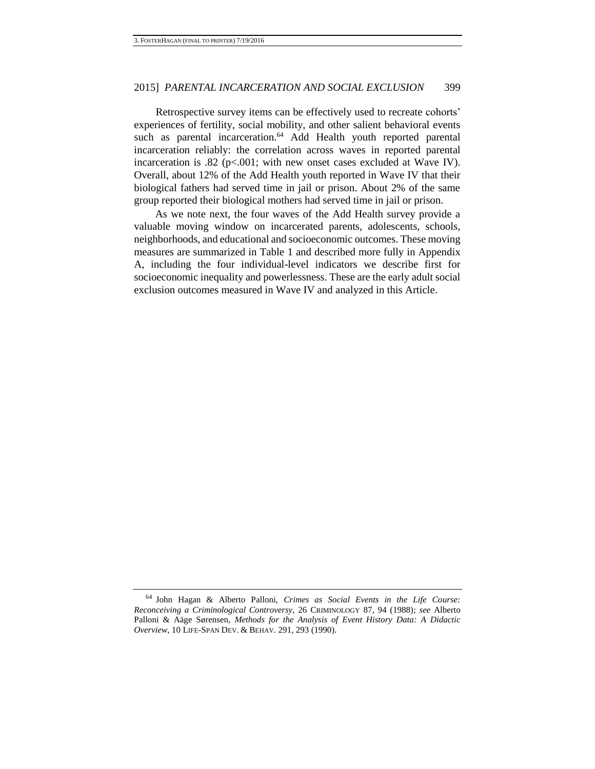Retrospective survey items can be effectively used to recreate cohorts' experiences of fertility, social mobility, and other salient behavioral events such as parental incarceration.<sup>64</sup> Add Health youth reported parental incarceration reliably: the correlation across waves in reported parental incarceration is .82 (p<.001; with new onset cases excluded at Wave IV). Overall, about 12% of the Add Health youth reported in Wave IV that their biological fathers had served time in jail or prison. About 2% of the same group reported their biological mothers had served time in jail or prison.

As we note next, the four waves of the Add Health survey provide a valuable moving window on incarcerated parents, adolescents, schools, neighborhoods, and educational and socioeconomic outcomes. These moving measures are summarized in Table 1 and described more fully in Appendix A, including the four individual-level indicators we describe first for socioeconomic inequality and powerlessness. These are the early adult social exclusion outcomes measured in Wave IV and analyzed in this Article.

<sup>64</sup> John Hagan & Alberto Palloni, *Crimes as Social Events in the Life Course: Reconceiving a Criminological Controversy*, 26 CRIMINOLOGY 87, 94 (1988); *see* Alberto Palloni & Aäge Sørensen, *Methods for the Analysis of Event History Data: A Didactic Overview*, 10 LIFE-SPAN DEV. & BEHAV. 291, 293 (1990).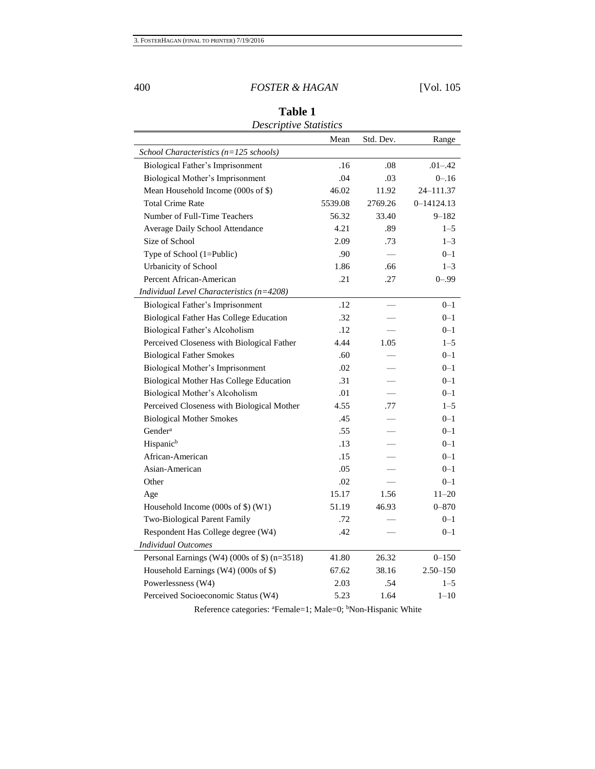#### 400 *FOSTER & HAGAN* [Vol. 105

| Descriptive Statistics                       |         |           |                |
|----------------------------------------------|---------|-----------|----------------|
|                                              | Mean    | Std. Dev. | Range          |
| School Characteristics ( $n=125$ schools)    |         |           |                |
| Biological Father's Imprisonment             | .16     | .08       | $.01 - .42$    |
| Biological Mother's Imprisonment             | .04     | .03       | $0 - 16$       |
| Mean Household Income (000s of \$)           | 46.02   | 11.92     | 24-111.37      |
| <b>Total Crime Rate</b>                      | 5539.08 | 2769.26   | $0 - 14124.13$ |
| Number of Full-Time Teachers                 | 56.32   | 33.40     | $9 - 182$      |
| Average Daily School Attendance              | 4.21    | .89       | $1 - 5$        |
| Size of School                               | 2.09    | .73       | $1 - 3$        |
| Type of School (1=Public)                    | .90     |           | $0 - 1$        |
| Urbanicity of School                         | 1.86    | .66       | $1 - 3$        |
| Percent African-American                     | .21     | .27       | $0 - .99$      |
| Individual Level Characteristics $(n=4208)$  |         |           |                |
| Biological Father's Imprisonment             | .12     |           | $0 - 1$        |
| Biological Father Has College Education      | .32     |           | $0 - 1$        |
| Biological Father's Alcoholism               | .12     |           | $0 - 1$        |
| Perceived Closeness with Biological Father   | 4.44    | 1.05      | $1 - 5$        |
| <b>Biological Father Smokes</b>              | .60     |           | $0 - 1$        |
| Biological Mother's Imprisonment             | .02     |           | $0 - 1$        |
| Biological Mother Has College Education      | .31     |           | $0 - 1$        |
| Biological Mother's Alcoholism               | .01     |           | $0 - 1$        |
| Perceived Closeness with Biological Mother   | 4.55    | .77       | $1 - 5$        |
| <b>Biological Mother Smokes</b>              | .45     |           | $0 - 1$        |
| Gender <sup>a</sup>                          | .55     |           | $0 - 1$        |
| Hispanic <sup>b</sup>                        | .13     |           | $0 - 1$        |
| African-American                             | .15     |           | $0 - 1$        |
| Asian-American                               | .05     |           | $0 - 1$        |
| Other                                        | .02     |           | $0 - 1$        |
| Age                                          | 15.17   | 1.56      | $11 - 20$      |
| Household Income (000s of \$) (W1)           | 51.19   | 46.93     | $0 - 870$      |
| Two-Biological Parent Family                 | .72     |           | $0 - 1$        |
| Respondent Has College degree (W4)           | .42     |           | $0 - 1$        |
| <b>Individual Outcomes</b>                   |         |           |                |
| Personal Earnings (W4) (000s of \$) (n=3518) | 41.80   | 26.32     | $0 - 150$      |
| Household Earnings (W4) (000s of \$)         | 67.62   | 38.16     | $2.50 - 150$   |
| Powerlessness (W4)                           | 2.03    | .54       | $1 - 5$        |
| Perceived Socioeconomic Status (W4)          | 5.23    | 1.64      | $1 - 10$       |
|                                              |         |           |                |

**Table 1** *Descriptive Statistics*

Reference categories: <sup>a</sup>Female=1; Male=0; <sup>b</sup>Non-Hispanic White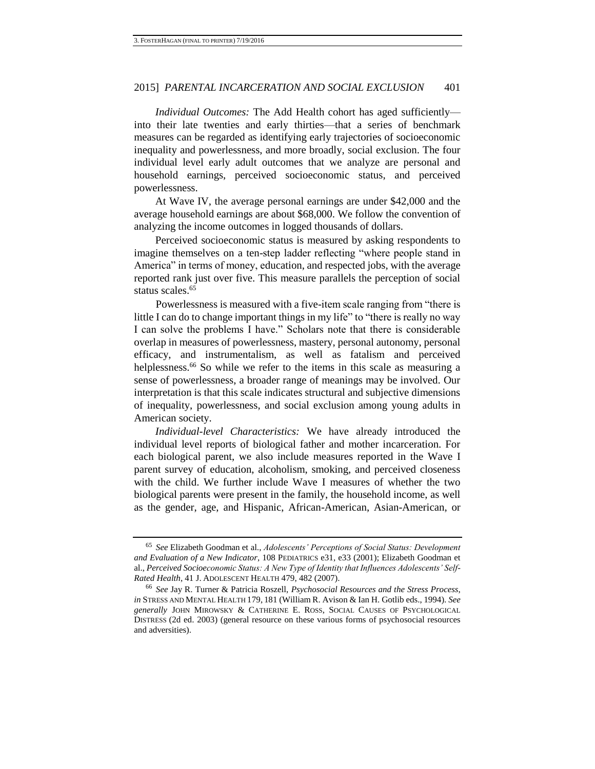*Individual Outcomes:* The Add Health cohort has aged sufficiently into their late twenties and early thirties—that a series of benchmark measures can be regarded as identifying early trajectories of socioeconomic inequality and powerlessness, and more broadly, social exclusion. The four individual level early adult outcomes that we analyze are personal and household earnings, perceived socioeconomic status, and perceived powerlessness.

At Wave IV, the average personal earnings are under \$42,000 and the average household earnings are about \$68,000. We follow the convention of analyzing the income outcomes in logged thousands of dollars.

Perceived socioeconomic status is measured by asking respondents to imagine themselves on a ten-step ladder reflecting "where people stand in America" in terms of money, education, and respected jobs, with the average reported rank just over five. This measure parallels the perception of social status scales.<sup>65</sup>

Powerlessness is measured with a five-item scale ranging from "there is little I can do to change important things in my life" to "there is really no way I can solve the problems I have." Scholars note that there is considerable overlap in measures of powerlessness, mastery, personal autonomy, personal efficacy, and instrumentalism, as well as fatalism and perceived helplessness.<sup>66</sup> So while we refer to the items in this scale as measuring a sense of powerlessness, a broader range of meanings may be involved. Our interpretation is that this scale indicates structural and subjective dimensions of inequality, powerlessness, and social exclusion among young adults in American society.

*Individual-level Characteristics:* We have already introduced the individual level reports of biological father and mother incarceration. For each biological parent, we also include measures reported in the Wave I parent survey of education, alcoholism, smoking, and perceived closeness with the child. We further include Wave I measures of whether the two biological parents were present in the family, the household income, as well as the gender, age, and Hispanic, African-American, Asian-American, or

<sup>65</sup> *See* Elizabeth Goodman et al., *Adolescents' Perceptions of Social Status: Development and Evaluation of a New Indicator*, 108 PEDIATRICS e31, e33 (2001); Elizabeth Goodman et al., *Perceived Socioeconomic Status: A New Type of Identity that Influences Adolescents' Self-Rated Health*, 41 J. ADOLESCENT HEALTH 479, 482 (2007).

<sup>66</sup> *See* Jay R. Turner & Patricia Roszell, *Psychosocial Resources and the Stress Process*, *in* STRESS AND MENTAL HEALTH 179, 181 (William R. Avison & Ian H. Gotlib eds., 1994). *See generally* JOHN MIROWSKY & CATHERINE E. ROSS, SOCIAL CAUSES OF PSYCHOLOGICAL DISTRESS (2d ed. 2003) (general resource on these various forms of psychosocial resources and adversities).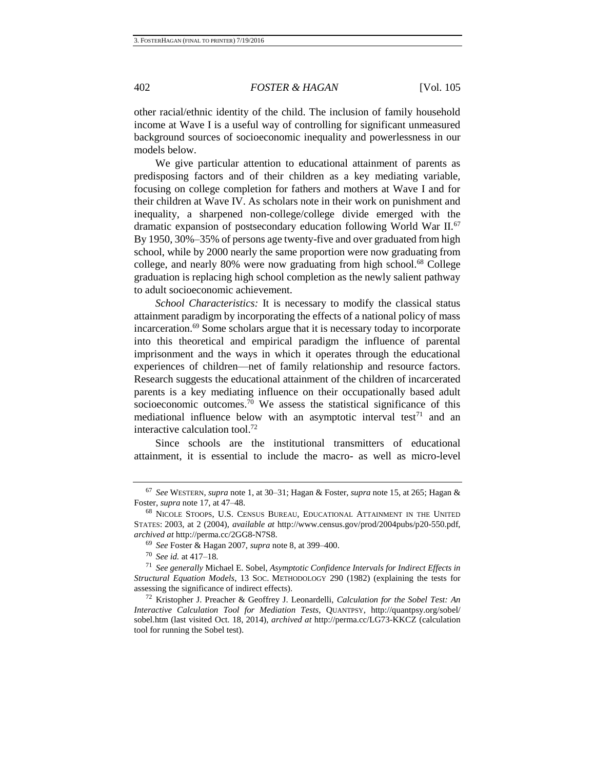other racial/ethnic identity of the child. The inclusion of family household income at Wave I is a useful way of controlling for significant unmeasured background sources of socioeconomic inequality and powerlessness in our models below.

We give particular attention to educational attainment of parents as predisposing factors and of their children as a key mediating variable, focusing on college completion for fathers and mothers at Wave I and for their children at Wave IV. As scholars note in their work on punishment and inequality, a sharpened non-college/college divide emerged with the dramatic expansion of postsecondary education following World War II.<sup>67</sup> By 1950, 30%–35% of persons age twenty-five and over graduated from high school, while by 2000 nearly the same proportion were now graduating from college, and nearly 80% were now graduating from high school. $68$  College graduation is replacing high school completion as the newly salient pathway to adult socioeconomic achievement.

*School Characteristics:* It is necessary to modify the classical status attainment paradigm by incorporating the effects of a national policy of mass incarceration.<sup>69</sup> Some scholars argue that it is necessary today to incorporate into this theoretical and empirical paradigm the influence of parental imprisonment and the ways in which it operates through the educational experiences of children—net of family relationship and resource factors. Research suggests the educational attainment of the children of incarcerated parents is a key mediating influence on their occupationally based adult socioeconomic outcomes.<sup>70</sup> We assess the statistical significance of this mediational influence below with an asymptotic interval test<sup>71</sup> and an interactive calculation tool.<sup>72</sup>

Since schools are the institutional transmitters of educational attainment, it is essential to include the macro- as well as micro-level

<sup>67</sup> *See* WESTERN, *supra* not[e 1,](#page-3-0) at 30–31; Hagan & Foster, *supra* not[e 15,](#page-5-0) at 265; Hagan & Foster, *supra* not[e 17,](#page-5-1) at 47–48.

<sup>68</sup> NICOLE STOOPS, U.S. CENSUS BUREAU, EDUCATIONAL ATTAINMENT IN THE UNITED STATES: 2003, at 2 (2004), *available at* http://www.census.gov/prod/2004pubs/p20-550.pdf, *archived at* http://perma.cc/2GG8-N7S8.

<sup>69</sup> *See* Foster & Hagan 2007, *supra* note [8,](#page-4-0) at 399–400.

<sup>70</sup> *See id.* at 417–18.

<sup>71</sup> *See generally* Michael E. Sobel, *Asymptotic Confidence Intervals for Indirect Effects in Structural Equation Models*, 13 SOC. METHODOLOGY 290 (1982) (explaining the tests for assessing the significance of indirect effects).

<sup>72</sup> Kristopher J. Preacher & Geoffrey J. Leonardelli, *Calculation for the Sobel Test: An Interactive Calculation Tool for Mediation Tests*, QUANTPSY, http://quantpsy.org/sobel/ sobel.htm (last visited Oct. 18, 2014), *archived at* http://perma.cc/LG73-KKCZ (calculation tool for running the Sobel test).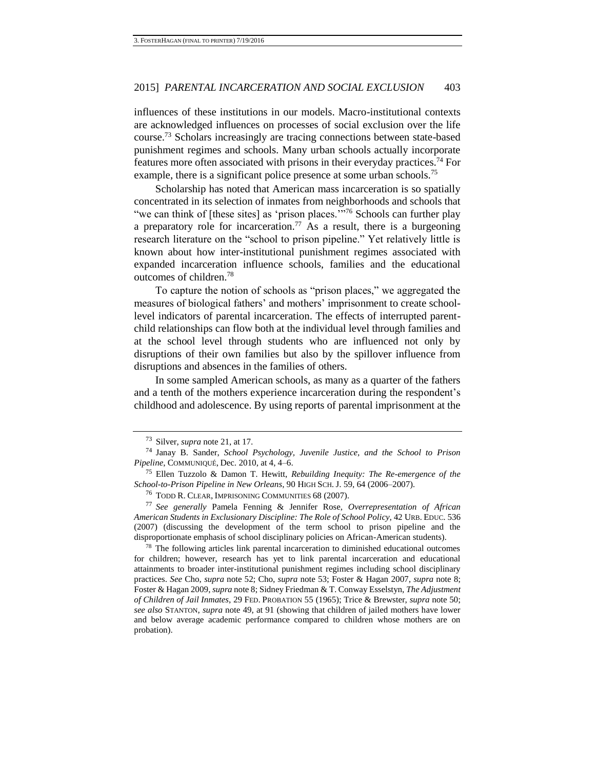influences of these institutions in our models. Macro-institutional contexts are acknowledged influences on processes of social exclusion over the life course.<sup>73</sup> Scholars increasingly are tracing connections between state-based punishment regimes and schools. Many urban schools actually incorporate features more often associated with prisons in their everyday practices.<sup>74</sup> For example, there is a significant police presence at some urban schools.<sup>75</sup>

Scholarship has noted that American mass incarceration is so spatially concentrated in its selection of inmates from neighborhoods and schools that "we can think of [these sites] as 'prison places."<sup>76</sup> Schools can further play a preparatory role for incarceration.<sup>77</sup> As a result, there is a burgeoning research literature on the "school to prison pipeline." Yet relatively little is known about how inter-institutional punishment regimes associated with expanded incarceration influence schools, families and the educational outcomes of children.<sup>78</sup>

To capture the notion of schools as "prison places," we aggregated the measures of biological fathers' and mothers' imprisonment to create schoollevel indicators of parental incarceration. The effects of interrupted parentchild relationships can flow both at the individual level through families and at the school level through students who are influenced not only by disruptions of their own families but also by the spillover influence from disruptions and absences in the families of others.

In some sampled American schools, as many as a quarter of the fathers and a tenth of the mothers experience incarceration during the respondent's childhood and adolescence. By using reports of parental imprisonment at the

<sup>73</sup> Silver, *supra* note [21,](#page-6-0) at 17.

<sup>74</sup> Janay B. Sander, *School Psychology, Juvenile Justice, and the School to Prison Pipeline*, COMMUNIQUÉ, Dec. 2010, at 4, 4–6.

<sup>75</sup> Ellen Tuzzolo & Damon T. Hewitt, *Rebuilding Inequity: The Re-emergence of the School-to-Prison Pipeline in New Orleans*, 90 HIGH SCH. J. 59, 64 (2006–2007).

<sup>76</sup> TODD R. CLEAR, IMPRISONING COMMUNITIES 68 (2007).

<sup>77</sup> *See generally* Pamela Fenning & Jennifer Rose, *Overrepresentation of African American Students in Exclusionary Discipline: The Role of School Policy*, 42 URB. EDUC. 536 (2007) (discussing the development of the term school to prison pipeline and the disproportionate emphasis of school disciplinary policies on African-American students).

 $78$  The following articles link parental incarceration to diminished educational outcomes for children; however, research has yet to link parental incarceration and educational attainments to broader inter-institutional punishment regimes including school disciplinary practices. *See* Cho, *supra* not[e 52;](#page-10-0) Cho, *supra* note [53;](#page-10-1) Foster & Hagan 2007, *supra* note [8;](#page-4-0) Foster & Hagan 2009, *supra* not[e 8;](#page-4-0) Sidney Friedman & T. Conway Esselstyn, *The Adjustment of Children of Jail Inmates*, 29 FED. PROBATION 55 (1965); Trice & Brewster, *supra* not[e 50;](#page-10-2) *see also* STANTON, *supra* note [49,](#page-10-3) at 91 (showing that children of jailed mothers have lower and below average academic performance compared to children whose mothers are on probation).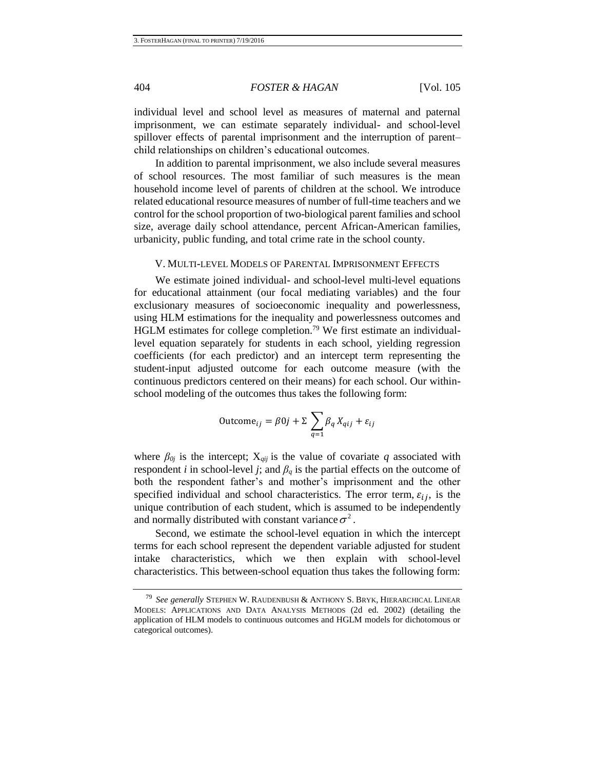individual level and school level as measures of maternal and paternal imprisonment, we can estimate separately individual- and school-level spillover effects of parental imprisonment and the interruption of parent– child relationships on children's educational outcomes.

In addition to parental imprisonment, we also include several measures of school resources. The most familiar of such measures is the mean household income level of parents of children at the school. We introduce related educational resource measures of number of full-time teachers and we control for the school proportion of two-biological parent families and school size, average daily school attendance, percent African-American families, urbanicity, public funding, and total crime rate in the school county.

#### V. MULTI-LEVEL MODELS OF PARENTAL IMPRISONMENT EFFECTS

We estimate joined individual- and school-level multi-level equations for educational attainment (our focal mediating variables) and the four exclusionary measures of socioeconomic inequality and powerlessness, using HLM estimations for the inequality and powerlessness outcomes and HGLM estimates for college completion.<sup>79</sup> We first estimate an individuallevel equation separately for students in each school, yielding regression coefficients (for each predictor) and an intercept term representing the student-input adjusted outcome for each outcome measure (with the continuous predictors centered on their means) for each school. Our withinschool modeling of the outcomes thus takes the following form:

$$
Outcome_{ij} = \beta 0j + \sum \sum_{q=1} \beta_q X_{qij} + \varepsilon_{ij}
$$

where  $\beta_{0i}$  is the intercept;  $X_{\text{qij}}$  is the value of covariate q associated with respondent *i* in school-level *j*; and  $\beta_q$  is the partial effects on the outcome of both the respondent father's and mother's imprisonment and the other specified individual and school characteristics. The error term,  $\varepsilon_{ij}$ , is the unique contribution of each student, which is assumed to be independently and normally distributed with constant variance  $\sigma^2$ .

Second, we estimate the school-level equation in which the intercept terms for each school represent the dependent variable adjusted for student intake characteristics, which we then explain with school-level characteristics. This between-school equation thus takes the following form:

<sup>79</sup> *See generally* STEPHEN W. RAUDENBUSH & ANTHONY S. BRYK, HIERARCHICAL LINEAR MODELS: APPLICATIONS AND DATA ANALYSIS METHODS (2d ed. 2002) (detailing the application of HLM models to continuous outcomes and HGLM models for dichotomous or categorical outcomes).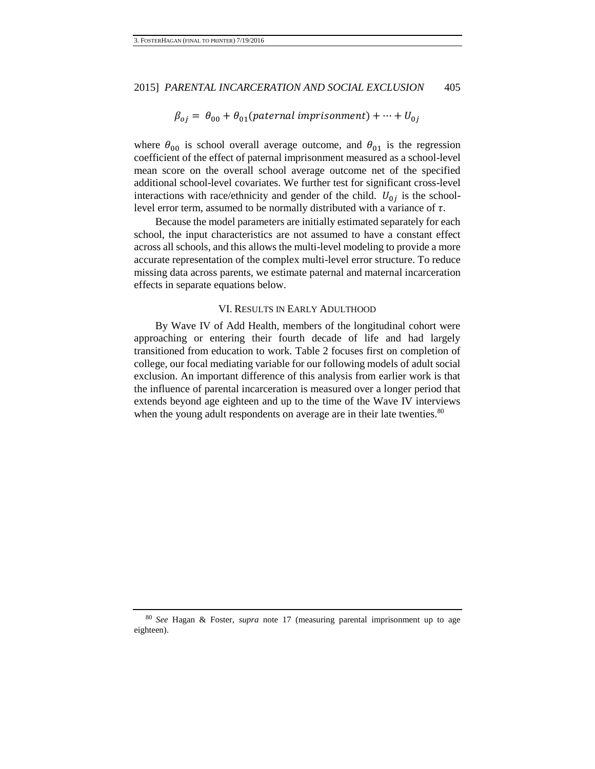$\beta_{0i} = \theta_{00} + \theta_{01}$ (paternal imprisonment) +  $\cdots$  +  $U_{0i}$ 

where  $\theta_{00}$  is school overall average outcome, and  $\theta_{01}$  is the regression coefficient of the effect of paternal imprisonment measured as a school-level mean score on the overall school average outcome net of the specified additional school-level covariates. We further test for significant cross-level interactions with race/ethnicity and gender of the child.  $U_{0j}$  is the schoollevel error term, assumed to be normally distributed with a variance of  $\tau$ .

Because the model parameters are initially estimated separately for each school, the input characteristics are not assumed to have a constant effect across all schools, and this allows the multi-level modeling to provide a more accurate representation of the complex multi-level error structure. To reduce missing data across parents, we estimate paternal and maternal incarceration effects in separate equations below.

#### VI. RESULTS IN EARLY ADULTHOOD

By Wave IV of Add Health, members of the longitudinal cohort were approaching or entering their fourth decade of life and had largely transitioned from education to work. Table 2 focuses first on completion of college, our focal mediating variable for our following models of adult social exclusion. An important difference of this analysis from earlier work is that the influence of parental incarceration is measured over a longer period that extends beyond age eighteen and up to the time of the Wave IV interviews when the young adult respondents on average are in their late twenties.<sup>80</sup>

<sup>80</sup> *See* Hagan & Foster, *supra* note [17](#page-5-1) (measuring parental imprisonment up to age eighteen).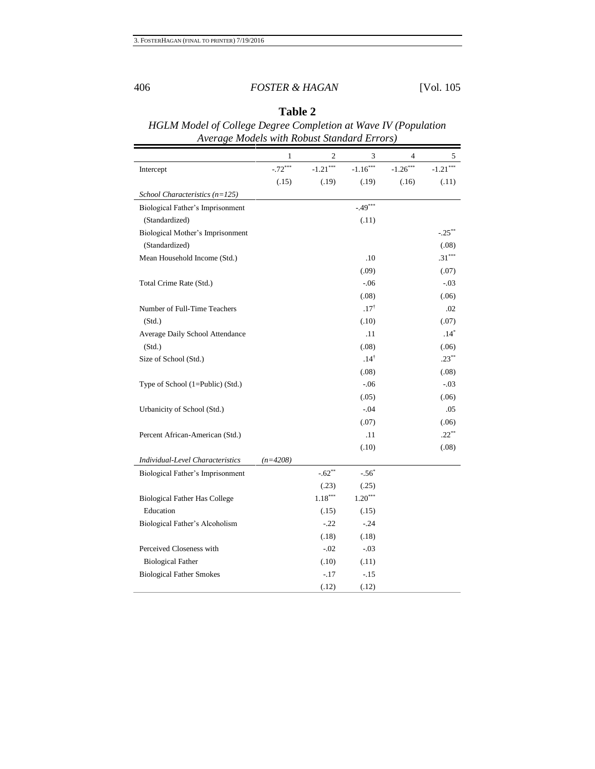|                                      |            | 2          | 3               | 4          | 5         |
|--------------------------------------|------------|------------|-----------------|------------|-----------|
| Intercept                            | $-.72***$  | $-1.21***$ | $-1.16***$      | $-1.26***$ | $-1.21$   |
|                                      | (.15)      | (.19)      | (.19)           | (.16)      | (.11)     |
| School Characteristics $(n=125)$     |            |            |                 |            |           |
| Biological Father's Imprisonment     |            |            | $-.49***$       |            |           |
| (Standardized)                       |            |            | (.11)           |            |           |
| Biological Mother's Imprisonment     |            |            |                 |            | $-.25***$ |
| (Standardized)                       |            |            |                 |            | (.08)     |
| Mean Household Income (Std.)         |            |            | .10             |            | $.31***$  |
|                                      |            |            | (.09)           |            | (.07)     |
| Total Crime Rate (Std.)              |            |            | $-.06$          |            | $-.03$    |
|                                      |            |            | (.08)           |            | (.06)     |
| Number of Full-Time Teachers         |            |            | $.17^{\dagger}$ |            | .02       |
| (Std.)                               |            |            | (.10)           |            | (.07)     |
| Average Daily School Attendance      |            |            | .11             |            | $.14*$    |
| (Std.)                               |            |            | (.08)           |            | (.06)     |
| Size of School (Std.)                |            |            | $.14^{\dagger}$ |            | $.23***$  |
|                                      |            |            | (.08)           |            | (.08)     |
| Type of School (1=Public) (Std.)     |            |            | $-0.06$         |            | $-.03$    |
|                                      |            |            | (.05)           |            | (.06)     |
| Urbanicity of School (Std.)          |            |            | $-.04$          |            | .05       |
|                                      |            |            | (.07)           |            | (.06)     |
| Percent African-American (Std.)      |            |            | .11             |            | $.22***$  |
|                                      |            |            | (.10)           |            | (.08)     |
| Individual-Level Characteristics     | $(n=4208)$ |            |                 |            |           |
| Biological Father's Imprisonment     |            | $-.62**$   | $-.56^*$        |            |           |
|                                      |            | (.23)      | (.25)           |            |           |
| <b>Biological Father Has College</b> |            | $1.18***$  | $1.20***$       |            |           |
| Education                            |            | (.15)      | (.15)           |            |           |
| Biological Father's Alcoholism       |            | $-.22$     | $-.24$          |            |           |
|                                      |            | (.18)      | (.18)           |            |           |
| Perceived Closeness with             |            | $-.02$     | $-.03$          |            |           |
| <b>Biological Father</b>             |            | (.10)      | (.11)           |            |           |
| <b>Biological Father Smokes</b>      |            | $-.17$     | $-15$           |            |           |
|                                      |            | (.12)      | (.12)           |            |           |

*HGLM Model of College Degree Completion at Wave IV (Population Average Models with Robust Standard Errors)* 

**Table 2**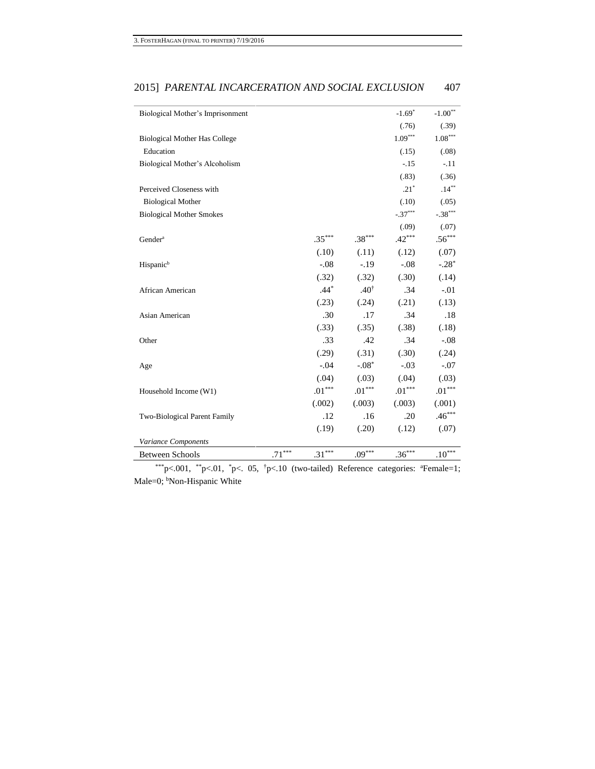| Biological Mother's Imprisonment     |          |                      |                      | $-1.69*$  | $-1.00**$ |
|--------------------------------------|----------|----------------------|----------------------|-----------|-----------|
|                                      |          |                      |                      | (.76)     | (.39)     |
| <b>Biological Mother Has College</b> |          |                      |                      | $1.09***$ | $1.08***$ |
| Education                            |          |                      |                      | (.15)     | (.08)     |
| Biological Mother's Alcoholism       |          |                      |                      | $-.15$    | $-.11$    |
|                                      |          |                      |                      | (.83)     | (.36)     |
| Perceived Closeness with             |          |                      |                      | $.21*$    | $.14***$  |
| <b>Biological Mother</b>             |          |                      |                      | (.10)     | (.05)     |
| <b>Biological Mother Smokes</b>      |          |                      |                      | $-.37***$ | $-.38***$ |
|                                      |          |                      |                      | (.09)     | (.07)     |
| Gender <sup>a</sup>                  |          | $.35***$             | $.38***$             | $.42***$  | $.56***$  |
|                                      |          | (.10)                | (.11)                | (.12)     | (.07)     |
| Hispanic <sup>b</sup>                |          | $-.08$               | $-.19$               | $-.08$    | $-.28*$   |
|                                      |          | (.32)                | (.32)                | (.30)     | (.14)     |
| African American                     |          | $.44*$               | $.40^{\dagger}$      | .34       | $-.01$    |
|                                      |          | (.23)                | (.24)                | (.21)     | (.13)     |
| Asian American                       |          | .30                  | .17                  | .34       | .18       |
|                                      |          | (.33)                | (.35)                | (.38)     | (.18)     |
| Other                                |          | .33                  | .42                  | .34       | $-.08$    |
|                                      |          | (.29)                | (.31)                | (.30)     | (.24)     |
| Age                                  |          | $-.04$               | $-.08*$              | $-.03$    | $-.07$    |
|                                      |          | (.04)                | (.03)                | (.04)     | (.03)     |
| Household Income (W1)                |          | $.01^{\ast\ast\ast}$ | $.01^{\ast\ast\ast}$ | $.01***$  | $.01***$  |
|                                      |          | (.002)               | (.003)               | (.003)    | (.001)    |
| Two-Biological Parent Family         |          | .12                  | .16                  | .20       | $.46***$  |
|                                      |          | (.19)                | (.20)                | (.12)     | (.07)     |
| Variance Components                  |          |                      |                      |           |           |
| <b>Between Schools</b>               | $.71***$ | $.31***$             | $.09***$             | $.36***$  | $.10***$  |

\*\*\*p<.001, \*\*p<.01, \*p<. 05, \*p<.10 (two-tailed) Reference categories: \*Female=1; Male=0; <sup>b</sup>Non-Hispanic White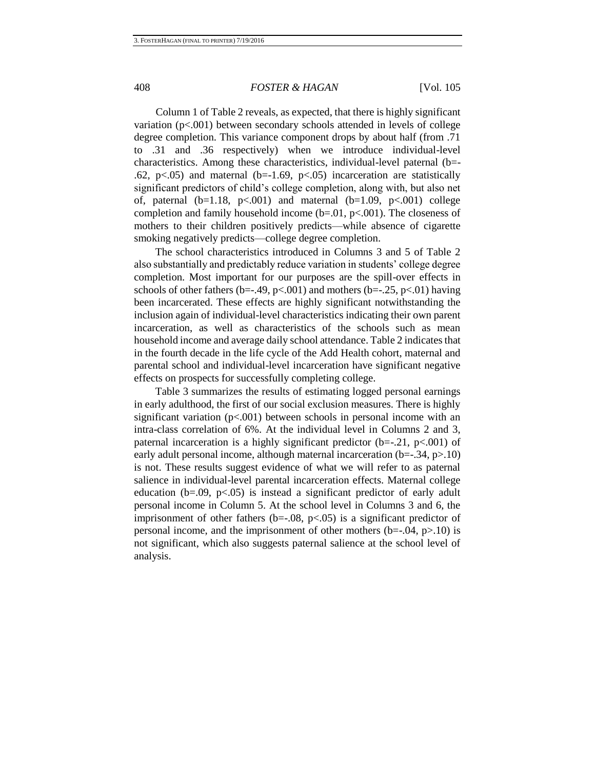Column 1 of Table 2 reveals, as expected, that there is highly significant variation (p<.001) between secondary schools attended in levels of college degree completion. This variance component drops by about half (from .71 to .31 and .36 respectively) when we introduce individual-level characteristics. Among these characteristics, individual-level paternal (b=- .62, p $\lt$ .05) and maternal (b=-1.69, p $\lt$ .05) incarceration are statistically significant predictors of child's college completion, along with, but also net of, paternal  $(b=1.18, p<0.001)$  and maternal  $(b=1.09, p<0.001)$  college completion and family household income  $(b=0.01, p<0.01)$ . The closeness of mothers to their children positively predicts—while absence of cigarette smoking negatively predicts—college degree completion.

The school characteristics introduced in Columns 3 and 5 of Table 2 also substantially and predictably reduce variation in students' college degree completion. Most important for our purposes are the spill-over effects in schools of other fathers (b=-.49, p<.001) and mothers (b=-.25, p<.01) having been incarcerated. These effects are highly significant notwithstanding the inclusion again of individual-level characteristics indicating their own parent incarceration, as well as characteristics of the schools such as mean household income and average daily school attendance. Table 2 indicates that in the fourth decade in the life cycle of the Add Health cohort, maternal and parental school and individual-level incarceration have significant negative effects on prospects for successfully completing college.

Table 3 summarizes the results of estimating logged personal earnings in early adulthood, the first of our social exclusion measures. There is highly significant variation  $(p<.001)$  between schools in personal income with an intra-class correlation of 6%. At the individual level in Columns 2 and 3, paternal incarceration is a highly significant predictor ( $b=-.21$ ,  $p<-.001$ ) of early adult personal income, although maternal incarceration  $(b=-.34, p>10)$ is not. These results suggest evidence of what we will refer to as paternal salience in individual-level parental incarceration effects. Maternal college education ( $b=0.09$ ,  $p<.05$ ) is instead a significant predictor of early adult personal income in Column 5. At the school level in Columns 3 and 6, the imprisonment of other fathers (b= $-0.08$ , p< $0.05$ ) is a significant predictor of personal income, and the imprisonment of other mothers ( $b=-.04$ ,  $p>10$ ) is not significant, which also suggests paternal salience at the school level of analysis.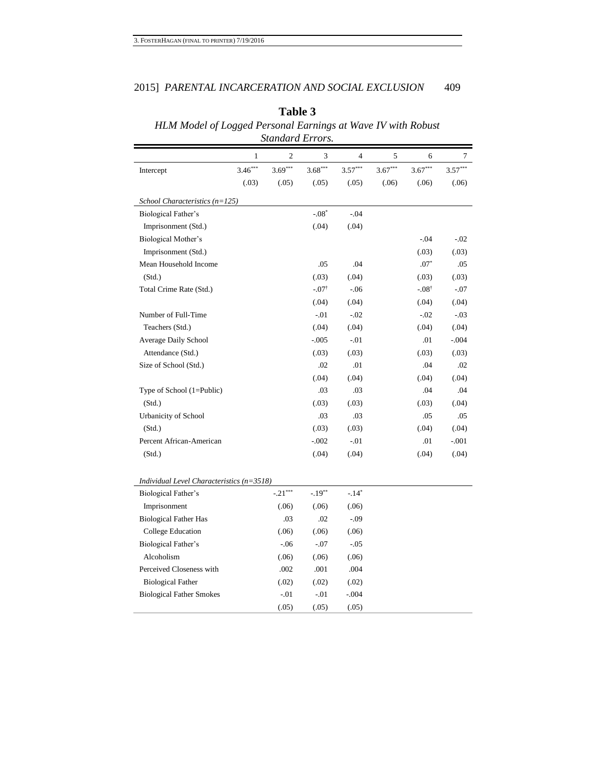| Standard Errors.                            |           |           |                  |                |           |                  |           |  |  |  |
|---------------------------------------------|-----------|-----------|------------------|----------------|-----------|------------------|-----------|--|--|--|
|                                             | 1         | 2         | 3                | $\overline{4}$ | 5         | 6                | 7         |  |  |  |
| Intercept                                   | $3.46***$ | $3.69***$ | $3.68***$        | $3.57***$      | $3.67***$ | $3.67***$        | $3.57***$ |  |  |  |
|                                             | (.03)     | (.05)     | (.05)            | (.05)          | (.06)     | (.06)            | (.06)     |  |  |  |
| School Characteristics $(n=125)$            |           |           |                  |                |           |                  |           |  |  |  |
| Biological Father's                         |           |           | $-08*$           | $-.04$         |           |                  |           |  |  |  |
| Imprisonment (Std.)                         |           |           | (.04)            | (.04)          |           |                  |           |  |  |  |
| Biological Mother's                         |           |           |                  |                |           | $-.04$           | $-.02$    |  |  |  |
| Imprisonment (Std.)                         |           |           |                  |                |           | (.03)            | (.03)     |  |  |  |
| Mean Household Income                       |           |           | .05              | .04            |           | $.07*$           | .05       |  |  |  |
| (Std.)                                      |           |           | (.03)            | (.04)          |           | (.03)            | (.03)     |  |  |  |
| Total Crime Rate (Std.)                     |           |           | $-.07^{\dagger}$ | $-.06$         |           | $-.08^{\dagger}$ | $-.07$    |  |  |  |
|                                             |           |           | (.04)            | (.04)          |           | (.04)            | (.04)     |  |  |  |
| Number of Full-Time                         |           |           | $-.01$           | $-.02$         |           | $-.02$           | $-0.03$   |  |  |  |
| Teachers (Std.)                             |           |           | (.04)            | (.04)          |           | (.04)            | (.04)     |  |  |  |
| Average Daily School                        |           |           | $-.005$          | $-.01$         |           | .01              | $-.004$   |  |  |  |
| Attendance (Std.)                           |           |           | (.03)            | (.03)          |           | (.03)            | (.03)     |  |  |  |
| Size of School (Std.)                       |           |           | .02              | .01            |           | .04              | .02       |  |  |  |
|                                             |           |           | (.04)            | (.04)          |           | (.04)            | (.04)     |  |  |  |
| Type of School (1=Public)                   |           |           | .03              | .03            |           | .04              | .04       |  |  |  |
| (Std.)                                      |           |           | (.03)            | (.03)          |           | (.03)            | (.04)     |  |  |  |
| Urbanicity of School                        |           |           | .03              | .03            |           | .05              | .05       |  |  |  |
| (Std.)                                      |           |           | (.03)            | (.03)          |           | (.04)            | (.04)     |  |  |  |
| Percent African-American                    |           |           | $-.002$          | $-.01$         |           | .01              | $-.001$   |  |  |  |
| (Std.)                                      |           |           | (.04)            | (.04)          |           | (.04)            | (.04)     |  |  |  |
|                                             |           |           |                  |                |           |                  |           |  |  |  |
| Individual Level Characteristics $(n=3518)$ |           |           |                  |                |           |                  |           |  |  |  |
| Biological Father's                         |           | $-.21***$ | $-.19**$         | $-.14*$        |           |                  |           |  |  |  |
| Imprisonment                                |           | (.06)     | (.06)            | (.06)          |           |                  |           |  |  |  |
| <b>Biological Father Has</b>                |           | .03       | .02              | $-.09$         |           |                  |           |  |  |  |
| College Education                           |           | (.06)     | (.06)            | (.06)          |           |                  |           |  |  |  |
| Biological Father's                         |           | $-.06$    | $-.07$           | $-.05$         |           |                  |           |  |  |  |
| Alcoholism                                  |           | (.06)     | (.06)            | (.06)          |           |                  |           |  |  |  |
| Perceived Closeness with                    |           | .002      | .001             | .004           |           |                  |           |  |  |  |
| <b>Biological Father</b>                    |           | (.02)     | (.02)            | (.02)          |           |                  |           |  |  |  |
| <b>Biological Father Smokes</b>             |           | $-.01$    | $-.01$           | $-.004$        |           |                  |           |  |  |  |
|                                             |           | (.05)     | (.05)            | (.05)          |           |                  |           |  |  |  |

**Table 3** *HLM Model of Logged Personal Earnings at Wave IV with Robust*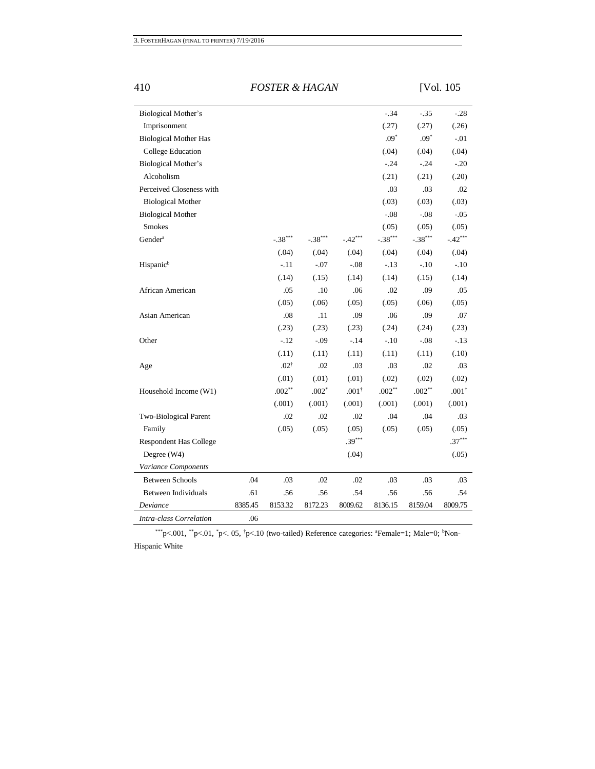410 *FOSTER & HAGAN* [Vol. 105

| Biological Mother's           |         |                 |           |                  | $-0.34$   | $-.35$    | $-28$            |
|-------------------------------|---------|-----------------|-----------|------------------|-----------|-----------|------------------|
| Imprisonment                  |         |                 |           |                  | (.27)     | (.27)     | (.26)            |
| <b>Biological Mother Has</b>  |         |                 |           |                  | $.09*$    | $.09*$    | $-.01$           |
| College Education             |         |                 |           |                  | (.04)     | (.04)     | (.04)            |
| Biological Mother's           |         |                 |           |                  | $-.24$    | $-.24$    | $-.20$           |
| Alcoholism                    |         |                 |           |                  | (.21)     | (.21)     | (.20)            |
| Perceived Closeness with      |         |                 |           |                  | .03       | .03       | .02              |
| <b>Biological Mother</b>      |         |                 |           |                  | (.03)     | (.03)     | (.03)            |
| <b>Biological Mother</b>      |         |                 |           |                  | $-.08$    | $-.08$    | $-0.05$          |
| Smokes                        |         |                 |           |                  | (.05)     | (.05)     | (.05)            |
| Gender <sup>a</sup>           |         | $-.38***$       | $-.38***$ | $-42***$         | $-.38***$ | $-.38***$ | $-.42***$        |
|                               |         | (.04)           | (.04)     | (.04)            | (.04)     | (.04)     | (.04)            |
| Hispanic <sup>b</sup>         |         | $-11$           | $-.07$    | $-.08$           | $-.13$    | $-.10$    | $-.10$           |
|                               |         | (.14)           | (.15)     | (.14)            | (.14)     | (.15)     | (.14)            |
| African American              |         | .05             | .10       | .06              | .02       | .09       | .05              |
|                               |         | (.05)           | (.06)     | (.05)            | (.05)     | (.06)     | (.05)            |
| Asian American                |         | .08             | .11       | .09              | .06       | .09       | .07              |
|                               |         | (.23)           | (.23)     | (.23)            | (.24)     | (.24)     | (.23)            |
| Other                         |         | $-.12$          | $-.09$    | $-14$            | $-.10$    | $-.08$    | $-13$            |
|                               |         | (.11)           | (.11)     | (.11)            | (.11)     | (.11)     | (.10)            |
| Age                           |         | $.02^{\dagger}$ | .02       | .03              | .03       | .02       | .03              |
|                               |         | (.01)           | (.01)     | (.01)            | (.02)     | (.02)     | (.02)            |
| Household Income (W1)         |         | $.002**$        | $.002*$   | $.001^{\dagger}$ | $.002**$  | $.002**$  | $.001^{\dagger}$ |
|                               |         | (.001)          | (.001)    | (.001)           | (.001)    | (.001)    | (.001)           |
| <b>Two-Biological Parent</b>  |         | .02             | .02       | .02              | .04       | .04       | .03              |
| Family                        |         | (.05)           | (.05)     | (.05)            | (.05)     | (.05)     | (.05)            |
| <b>Respondent Has College</b> |         |                 |           | $.39***$         |           |           | $.37***$         |
| Degree (W4)                   |         |                 |           | (.04)            |           |           | (.05)            |
| Variance Components           |         |                 |           |                  |           |           |                  |
| <b>Between Schools</b>        | .04     | .03             | .02       | .02              | .03       | .03       | .03              |
| Between Individuals           | .61     | .56             | .56       | .54              | .56       | .56       | .54              |
| Deviance                      | 8385.45 | 8153.32         | 8172.23   | 8009.62          | 8136.15   | 8159.04   | 8009.75          |
| Intra-class Correlation       | .06     |                 |           |                  |           |           |                  |
|                               |         |                 |           |                  |           |           |                  |

\*\*\*p<.001, \*\*p<.01, \*p<.05, \*p<.10 (two-tailed) Reference categories: \*Female=1; Male=0; \*Non-Hispanic White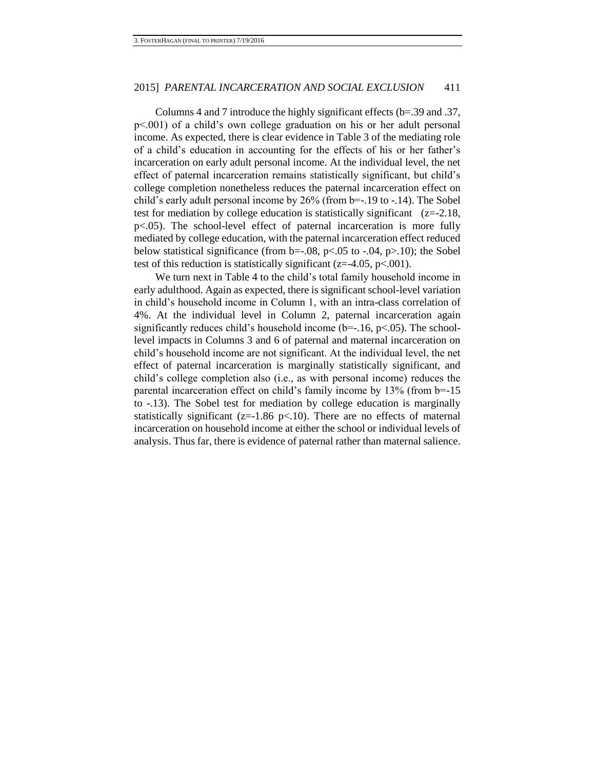Columns 4 and 7 introduce the highly significant effects (b=.39 and .37, p<.001) of a child's own college graduation on his or her adult personal income. As expected, there is clear evidence in Table 3 of the mediating role of a child's education in accounting for the effects of his or her father's incarceration on early adult personal income. At the individual level, the net effect of paternal incarceration remains statistically significant, but child's college completion nonetheless reduces the paternal incarceration effect on child's early adult personal income by 26% (from b=-.19 to -.14). The Sobel test for mediation by college education is statistically significant (z=-2.18, p<.05). The school-level effect of paternal incarceration is more fully mediated by college education, with the paternal incarceration effect reduced below statistical significance (from  $b=-.08$ ,  $p<-0.05$  to  $-.04$ ,  $p>10$ ); the Sobel test of this reduction is statistically significant ( $z=4.05$ ,  $p<.001$ ).

We turn next in Table 4 to the child's total family household income in early adulthood. Again as expected, there is significant school-level variation in child's household income in Column 1, with an intra-class correlation of 4%. At the individual level in Column 2, paternal incarceration again significantly reduces child's household income  $(b=-.16, p<.05)$ . The schoollevel impacts in Columns 3 and 6 of paternal and maternal incarceration on child's household income are not significant. At the individual level, the net effect of paternal incarceration is marginally statistically significant, and child's college completion also (i.e., as with personal income) reduces the parental incarceration effect on child's family income by 13% (from b=-15 to -.13). The Sobel test for mediation by college education is marginally statistically significant ( $z=1.86$  p $<$ .10). There are no effects of maternal incarceration on household income at either the school or individual levels of analysis. Thus far, there is evidence of paternal rather than maternal salience.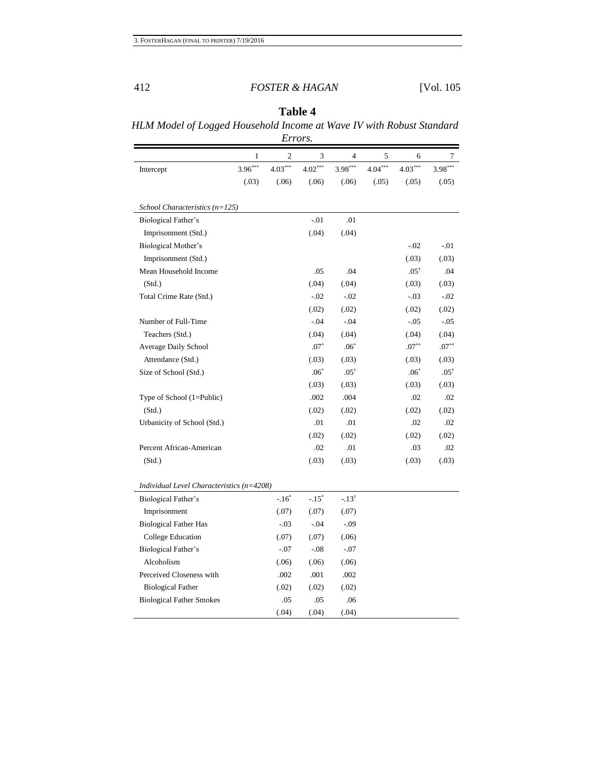| Errors.                                     |           |                |                     |                 |           |                 |                 |  |  |  |  |
|---------------------------------------------|-----------|----------------|---------------------|-----------------|-----------|-----------------|-----------------|--|--|--|--|
|                                             | 1         | $\mathfrak{2}$ | 3                   | $\overline{4}$  | 5         | 6               |                 |  |  |  |  |
| Intercept                                   | $3.96***$ | $4.03***$      | $4.02***$           | $3.98***$       | $4.04***$ | $4.03***$       | $3.98***$       |  |  |  |  |
|                                             | (.03)     | (.06)          | (.06)               | (.06)           | (.05)     | (.05)           | (.05)           |  |  |  |  |
| School Characteristics $(n=125)$            |           |                |                     |                 |           |                 |                 |  |  |  |  |
| Biological Father's                         |           |                | $-.01$              | .01             |           |                 |                 |  |  |  |  |
| Imprisonment (Std.)                         |           |                | (.04)               | (.04)           |           |                 |                 |  |  |  |  |
| Biological Mother's                         |           |                |                     |                 |           | $-.02$          | $-.01$          |  |  |  |  |
| Imprisonment (Std.)                         |           |                |                     |                 |           | (.03)           | (.03)           |  |  |  |  |
| Mean Household Income                       |           |                | .05                 | .04             |           | $.05^{\dagger}$ | .04             |  |  |  |  |
| (Std.)                                      |           |                | (.04)               | (.04)           |           | (.03)           | (.03)           |  |  |  |  |
| Total Crime Rate (Std.)                     |           |                | $-.02$              | $-.02$          |           | $-.03$          | $-.02$          |  |  |  |  |
|                                             |           |                | (.02)               | (.02)           |           | (.02)           | (.02)           |  |  |  |  |
| Number of Full-Time                         |           |                | $-.04$              | $-.04$          |           | $-.05$          | $-.05$          |  |  |  |  |
| Teachers (Std.)                             |           |                | (.04)               | (.04)           |           | (.04)           | (.04)           |  |  |  |  |
| Average Daily School                        |           |                | $.07*$              | $.06*$          |           | $.07**$         | $.07***$        |  |  |  |  |
| Attendance (Std.)                           |           |                | (.03)               | (.03)           |           | (.03)           | (.03)           |  |  |  |  |
| Size of School (Std.)                       |           |                | $.06*$              | $.05^{\dagger}$ |           | $.06*$          | $.05^{\dagger}$ |  |  |  |  |
|                                             |           |                | (.03)               | (.03)           |           | (.03)           | (.03)           |  |  |  |  |
| Type of School $(1=Public)$                 |           |                | .002                | .004            |           | .02             | .02             |  |  |  |  |
| (Std.)                                      |           |                | (.02)               | (.02)           |           | (.02)           | (.02)           |  |  |  |  |
| Urbanicity of School (Std.)                 |           |                | .01                 | .01             |           | .02             | .02             |  |  |  |  |
|                                             |           |                | (.02)               | (.02)           |           | (.02)           | (.02)           |  |  |  |  |
| Percent African-American                    |           |                | .02                 | .01             |           | .03             | .02             |  |  |  |  |
| (Std.)                                      |           |                | (.03)               | (.03)           |           | (.03)           | (.03)           |  |  |  |  |
| Individual Level Characteristics $(n=4208)$ |           |                |                     |                 |           |                 |                 |  |  |  |  |
| Biological Father's                         |           | $-.16*$        | $-.15$ <sup>*</sup> | $-13^{\dagger}$ |           |                 |                 |  |  |  |  |
| Imprisonment                                |           | (.07)          | (.07)               | (.07)           |           |                 |                 |  |  |  |  |
| <b>Biological Father Has</b>                |           | $-.03$         | $-.04$              | $-0.09$         |           |                 |                 |  |  |  |  |
| College Education                           |           | (.07)          | (.07)               | (.06)           |           |                 |                 |  |  |  |  |
| Biological Father's                         |           | $-.07$         | $-.08$              | $-.07$          |           |                 |                 |  |  |  |  |
| Alcoholism                                  |           | (.06)          | (.06)               | (.06)           |           |                 |                 |  |  |  |  |
| Perceived Closeness with                    |           | .002           | .001                | .002            |           |                 |                 |  |  |  |  |
| <b>Biological Father</b>                    |           | (.02)          | (.02)               | (.02)           |           |                 |                 |  |  |  |  |
| <b>Biological Father Smokes</b>             |           | .05            | .05                 | .06             |           |                 |                 |  |  |  |  |
|                                             |           | (.04)          | (.04)               | (.04)           |           |                 |                 |  |  |  |  |

*HLM Model of Logged Household Income at Wave IV with Robust Standard* 

**Table 4**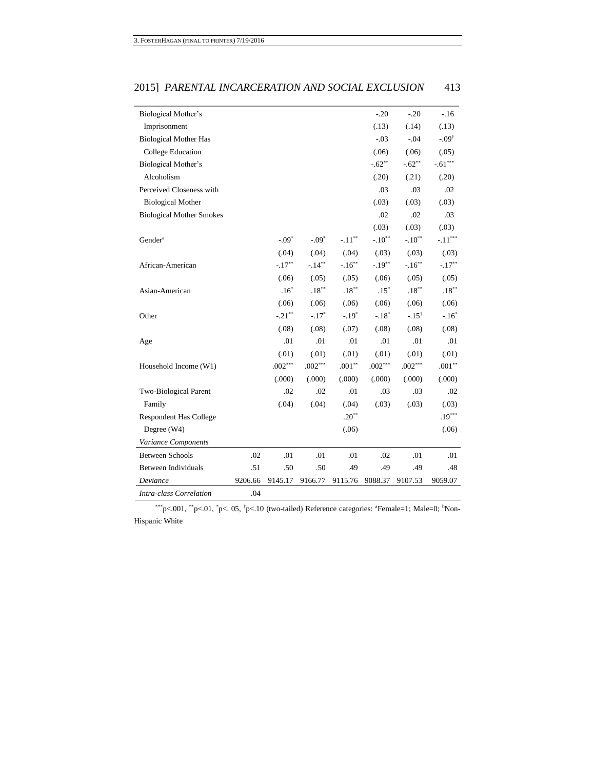| 2015] PARENTAL INCARCERATION AND SOCIAL EXCLUSION | 413 |
|---------------------------------------------------|-----|
|---------------------------------------------------|-----|

| Biological Mother's             |         |           |           |                  | $-.20$    | $-.20$           | $-.16$    |
|---------------------------------|---------|-----------|-----------|------------------|-----------|------------------|-----------|
| Imprisonment                    |         |           |           |                  | (.13)     | (.14)            | (.13)     |
| <b>Biological Mother Has</b>    |         |           |           |                  | $-.03$    | $-0.04$          | $-.09†$   |
| College Education               |         |           |           |                  | (.06)     | (.06)            | (.05)     |
| Biological Mother's             |         |           |           |                  | $-.62**$  | $-.62**$         | $-.61***$ |
| Alcoholism                      |         |           |           |                  | (.20)     | (.21)            | (.20)     |
| Perceived Closeness with        |         |           |           |                  | .03       | .03              | .02       |
| <b>Biological Mother</b>        |         |           |           |                  | (.03)     | (.03)            | (.03)     |
| <b>Biological Mother Smokes</b> |         |           |           |                  | .02       | .02              | .03       |
|                                 |         |           |           |                  | (.03)     | (.03)            | (.03)     |
| Gender <sup>a</sup>             |         | $-.09*$   | $-.09*$   | $-.11**$         | $-.10**$  | $-.10^{**}$      | $-.11***$ |
|                                 |         | (.04)     | (.04)     | (.04)            | (.03)     | (.03)            | (.03)     |
| African-American                |         | $-.17***$ | $-.14***$ | $-.16***$        | $-.19***$ | $-16^{**}$       | $-.17***$ |
|                                 |         | (.06)     | (.05)     | (.05)            | (.06)     | (.05)            | (.05)     |
| Asian-American                  |         | $.16*$    | $.18***$  | $.18^{\ast\ast}$ | $.15*$    | $.18***$         | $.18***$  |
|                                 |         | (.06)     | (.06)     | (.06)            | (.06)     | (.06)            | (.06)     |
| Other                           |         | $-.21***$ | $-.17*$   | $-.19*$          | $-.18*$   | $-.15^{\dagger}$ | $-.16*$   |
|                                 |         | (.08)     | (.08)     | (.07)            | (.08)     | (.08)            | (.08)     |
| Age                             |         | .01       | .01       | .01              | .01       | .01              | .01       |
|                                 |         | (.01)     | (.01)     | (.01)            | (.01)     | (.01)            | (.01)     |
| Household Income (W1)           |         | $.002***$ | $.002***$ | $.001**$         | $.002***$ | $.002***$        | $.001**$  |
|                                 |         | (.000)    | (.000)    | (.000)           | (.000)    | (.000)           | (.000)    |
| Two-Biological Parent           |         | .02       | .02       | .01              | .03       | .03              | .02       |
| Family                          |         | (.04)     | (.04)     | (.04)            | (.03)     | (.03)            | (.03)     |
| <b>Respondent Has College</b>   |         |           |           | $.20^{**}$       |           |                  | $.19***$  |
| Degree (W4)                     |         |           |           | (.06)            |           |                  | (.06)     |
| Variance Components             |         |           |           |                  |           |                  |           |
| <b>Between Schools</b>          | .02     | .01       | .01       | .01              | .02       | .01              | .01       |
| <b>Between Individuals</b>      | .51     | .50       | .50       | .49              | .49       | .49              | .48       |
| Deviance                        | 9206.66 | 9145.17   | 9166.77   | 9115.76          | 9088.37   | 9107.53          | 9059.07   |
| Intra-class Correlation         | .04     |           |           |                  |           |                  |           |

\*\*\*p<.001, \*\*p<.01, \*p<.05, \*p<.10 (two-tailed) Reference categories: \*Female=1; Male=0; \*Non-Hispanic White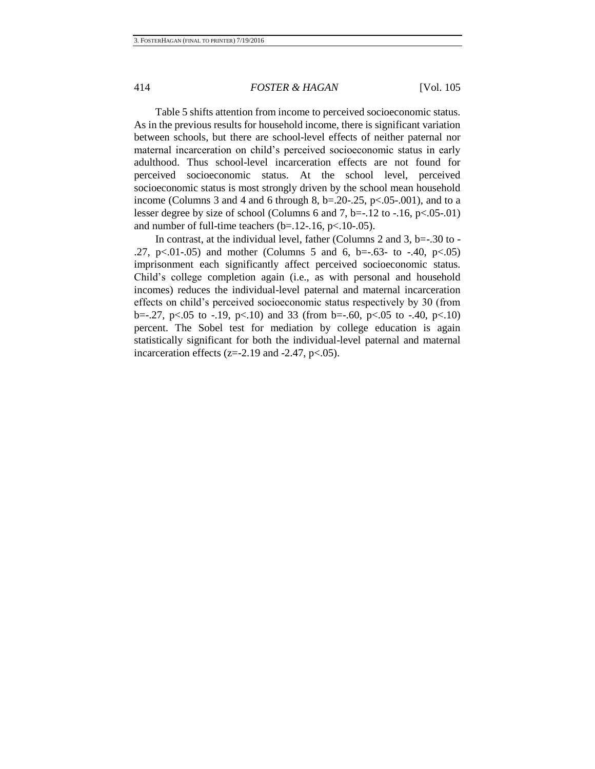Table 5 shifts attention from income to perceived socioeconomic status. As in the previous results for household income, there is significant variation between schools, but there are school-level effects of neither paternal nor maternal incarceration on child's perceived socioeconomic status in early adulthood. Thus school-level incarceration effects are not found for perceived socioeconomic status. At the school level, perceived socioeconomic status is most strongly driven by the school mean household income (Columns 3 and 4 and 6 through 8, b=.20-.25, p<.05-.001), and to a lesser degree by size of school (Columns 6 and 7, b=-.12 to  $-.16$ , p<.05-.01) and number of full-time teachers  $(b=12-16, p<10-05)$ .

In contrast, at the individual level, father (Columns 2 and 3,  $b=-.30$  to -.27, p $\lt$ .01-.05) and mother (Columns 5 and 6, b= $-0.63$ - to  $-0.40$ , p $\lt$ .05) imprisonment each significantly affect perceived socioeconomic status. Child's college completion again (i.e., as with personal and household incomes) reduces the individual-level paternal and maternal incarceration effects on child's perceived socioeconomic status respectively by 30 (from b=-.27, p<.05 to -.19, p<.10) and 33 (from b=-.60, p<.05 to -.40, p<.10) percent. The Sobel test for mediation by college education is again statistically significant for both the individual-level paternal and maternal incarceration effects ( $z=-2.19$  and  $-2.47$ ,  $p<-0.5$ ).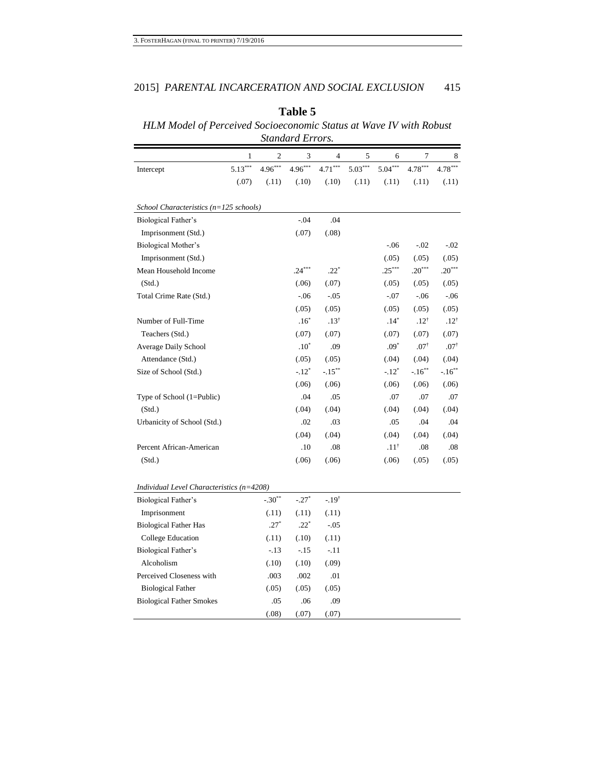| Standard Errors.                            |              |                |           |                  |           |                 |                 |                 |
|---------------------------------------------|--------------|----------------|-----------|------------------|-----------|-----------------|-----------------|-----------------|
|                                             | $\mathbf{1}$ | $\overline{2}$ | 3         | 4                | 5         | 6               | 7               |                 |
| Intercept                                   | $5.13***$    | $4.96***$      | $4.96***$ | $4.71***$        | $5.03***$ | $5.04***$       | $4.78***$       | $4.78***$       |
|                                             | (.07)        | (.11)          | (.10)     | (.10)            | (.11)     | (.11)           | (.11)           | (.11)           |
|                                             |              |                |           |                  |           |                 |                 |                 |
| School Characteristics $(n=125$ schools)    |              |                |           |                  |           |                 |                 |                 |
| Biological Father's                         |              |                | $-.04$    | .04              |           |                 |                 |                 |
| Imprisonment (Std.)                         |              |                | (.07)     | (.08)            |           |                 |                 |                 |
| Biological Mother's                         |              |                |           |                  |           | $-.06$          | $-.02$          | $-0.02$         |
| Imprisonment (Std.)                         |              |                |           |                  |           | (.05)           | (.05)           | (.05)           |
| Mean Household Income                       |              |                | $.24***$  | $.22*$           |           | $.25***$        | $.20***$        | $.20***$        |
| (Std.)                                      |              |                | (.06)     | (.07)            |           | (.05)           | (.05)           | (.05)           |
| Total Crime Rate (Std.)                     |              |                | $-06$     | $-0.05$          |           | $-.07$          | $-06$           | $-06$           |
|                                             |              |                | (.05)     | (.05)            |           | (.05)           | (.05)           | (.05)           |
| Number of Full-Time                         |              |                | $.16*$    | $.13^{\dagger}$  |           | $.14*$          | $.12^{\dagger}$ | $.12^{\dagger}$ |
| Teachers (Std.)                             |              |                | (.07)     | (.07)            |           | (.07)           | (.07)           | (.07)           |
| Average Daily School                        |              |                | $.10^*$   | .09              |           | $.09*$          | $.07^{\dagger}$ | $.07^{\dagger}$ |
| Attendance (Std.)                           |              |                | (.05)     | (.05)            |           | (.04)           | (.04)           | (.04)           |
| Size of School (Std.)                       |              |                | $-.12"$   | $-.15***$        |           | $-.12*$         | $-.16^{**}$     | $-16^{**}$      |
|                                             |              |                | (.06)     | (.06)            |           | (.06)           | (.06)           | (.06)           |
| Type of School (1=Public)                   |              |                | .04       | .05              |           | .07             | .07             | .07             |
| (Std.)                                      |              |                | (.04)     | (.04)            |           | (.04)           | (.04)           | (.04)           |
| Urbanicity of School (Std.)                 |              |                | .02       | .03              |           | .05             | .04             | .04             |
|                                             |              |                | (.04)     | (.04)            |           | (.04)           | (.04)           | (.04)           |
| Percent African-American                    |              |                | .10       | .08              |           | $.11^{\dagger}$ | .08             | .08             |
| (Std.)                                      |              |                | (.06)     | (.06)            |           | (.06)           | (.05)           | (.05)           |
|                                             |              |                |           |                  |           |                 |                 |                 |
| Individual Level Characteristics $(n=4208)$ |              |                |           |                  |           |                 |                 |                 |
| Biological Father's                         |              | $-.30**$       | $-.27*$   | $-.19^{\dagger}$ |           |                 |                 |                 |
| Imprisonment                                |              | (.11)          | (.11)     | (.11)            |           |                 |                 |                 |
| <b>Biological Father Has</b>                |              | $.27*$         | $.22*$    | $-0.05$          |           |                 |                 |                 |
| College Education                           |              | (.11)          | (.10)     | (.11)            |           |                 |                 |                 |
| Biological Father's                         |              | $-13$          | $-15$     | $-.11$           |           |                 |                 |                 |
| Alcoholism                                  |              | (.10)          | (.10)     | (.09)            |           |                 |                 |                 |
| Perceived Closeness with                    |              | .003           | .002      | .01              |           |                 |                 |                 |
| <b>Biological Father</b>                    |              | (.05)          | (.05)     | (.05)            |           |                 |                 |                 |
| <b>Biological Father Smokes</b>             |              | .05            | .06       | .09              |           |                 |                 |                 |
|                                             |              | (.08)          | (.07)     | (.07)            |           |                 |                 |                 |

#### **Table 5** *HLM Model of Perceived Socioeconomic Status at Wave IV with Robust Standard Errors.*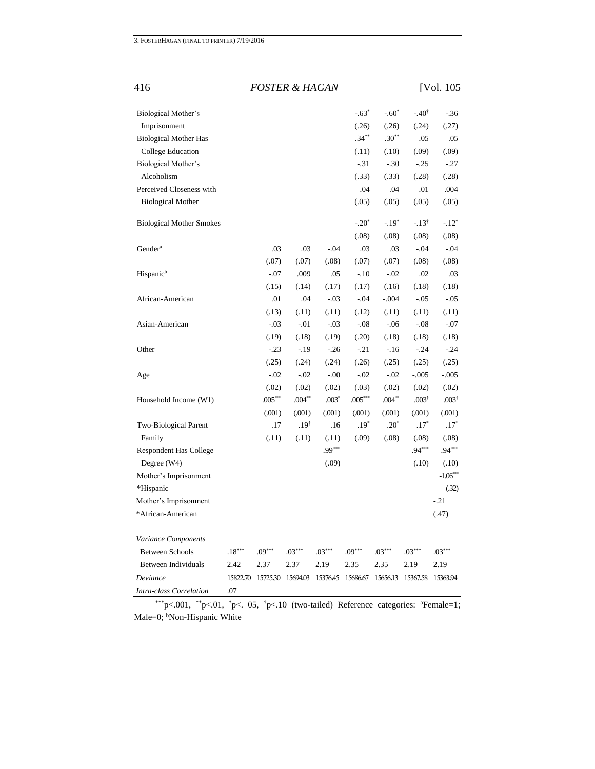| Biological Mother's             |                      |           |                 |          | $-.63*$   | $-.60*$  | $-.40^{\dagger}$ | $-.36$                 |
|---------------------------------|----------------------|-----------|-----------------|----------|-----------|----------|------------------|------------------------|
| Imprisonment                    |                      |           |                 |          | (.26)     | (.26)    | (.24)            | (.27)                  |
| <b>Biological Mother Has</b>    |                      |           |                 |          | $.34***$  | $.30**$  | .05              | .05                    |
| College Education               |                      |           |                 |          | (.11)     | (.10)    | (.09)            | (.09)                  |
| Biological Mother's             |                      |           |                 |          | $-.31$    | $-.30$   | $-.25$           | $-27$                  |
| Alcoholism                      |                      |           |                 |          | (.33)     | (.33)    | (.28)            | (.28)                  |
| Perceived Closeness with        |                      |           |                 |          | .04       | .04      | .01              | .004                   |
| <b>Biological Mother</b>        |                      |           |                 |          | (.05)     | (.05)    | (.05)            | (.05)                  |
|                                 |                      |           |                 |          |           |          |                  |                        |
| <b>Biological Mother Smokes</b> |                      |           |                 |          | $-.20^*$  | $-.19*$  | $-.13^{\dagger}$ | $-.12^{\dagger}$       |
|                                 |                      |           |                 |          | (.08)     | (.08)    | (.08)            | (.08)                  |
| Gender <sup>a</sup>             |                      | .03       | .03             | $-.04$   | .03       | .03      | $-.04$           | $-.04$                 |
|                                 |                      | (.07)     | (.07)           | (.08)    | (.07)     | (.07)    | (.08)            | (.08)                  |
| Hispanic <sup>b</sup>           |                      | $-.07$    | .009            | .05      | $-.10$    | $-.02$   | .02              | .03                    |
|                                 |                      | (.15)     | (.14)           | (.17)    | (.17)     | (.16)    | (.18)            | (.18)                  |
| African-American                |                      | .01       | .04             | $-.03$   | $-0.04$   | $-.004$  | $-.05$           | $-.05$                 |
|                                 |                      | (.13)     | (.11)           | (.11)    | (.12)     | (.11)    | (.11)            | (.11)                  |
| Asian-American                  |                      | $-.03$    | $-.01$          | $-.03$   | $-.08$    | $-.06$   | $-.08$           | $-.07$                 |
|                                 |                      | (.19)     | (.18)           | (.19)    | (.20)     | (.18)    | (.18)            | (.18)                  |
| Other                           |                      | $-23$     | $-19$           | $-0.26$  | $-.21$    | $-16$    | $-.24$           | $-0.24$                |
|                                 |                      | (.25)     | (.24)           | (.24)    | (.26)     | (.25)    | (.25)            | (.25)                  |
| Age                             |                      | $-.02$    | $-.02$          | $-0.00$  | $-.02$    | $-.02$   | $-.005$          | $-0.005$               |
|                                 |                      | (.02)     | (.02)           | (.02)    | (.03)     | (.02)    | (.02)            | (.02)                  |
| Household Income (W1)           |                      | $.005***$ | $.004**$        | $.003*$  | $.005***$ | $.004**$ | $.003^{\dagger}$ | .003 <sup>†</sup>      |
|                                 |                      | (.001)    | (.001)          | (.001)   | (.001)    | (.001)   | (.001)           | (.001)                 |
| <b>Two-Biological Parent</b>    |                      | .17       | $.19^{\dagger}$ | .16      | $.19*$    | $.20*$   | $.17*$           | $.17*$                 |
| Family                          |                      | (.11)     | (.11)           | (.11)    | (.09)     | (.08)    | (.08)            | (.08)                  |
| <b>Respondent Has College</b>   |                      |           |                 | $.99***$ |           |          | $.94***$         | $.94***$               |
| Degree (W4)                     |                      |           |                 | (.09)    |           |          | (.10)            | (.10)                  |
| Mother's Imprisonment           |                      |           |                 |          |           |          |                  | $-1.06$ <sup>***</sup> |
| *Hispanic                       |                      |           |                 |          |           |          |                  | (.32)                  |
| Mother's Imprisonment           |                      |           |                 |          |           |          |                  | $-.21$                 |
| *African-American               |                      |           |                 |          |           |          |                  | (.47)                  |
|                                 |                      |           |                 |          |           |          |                  |                        |
| Variance Components             |                      |           |                 |          |           |          |                  |                        |
| <b>Between Schools</b>          | $.18^{\ast\ast\ast}$ | $.09***$  | $.03***$        | $.03***$ | $.09***$  | $.03***$ | $.03***$         | $.03***$               |
| Between Individuals             | 2.42                 | 2.37      | 2.37            | 2.19     | 2.35      | 2.35     | 2.19             | 2.19                   |
| Deviance                        | 15822.70             | 15725.30  | 15694.03        | 15376.45 | 15686.67  | 15656.13 | 15367.58         | 15363.94               |
| Intra-class Correlation         | .07                  |           |                 |          |           |          |                  |                        |

\*\*\*p<.001, \*\*p<.01, \*p<. 05, \*p<.10 (two-tailed) Reference categories: \*Female=1; Male=0; <sup>b</sup>Non-Hispanic White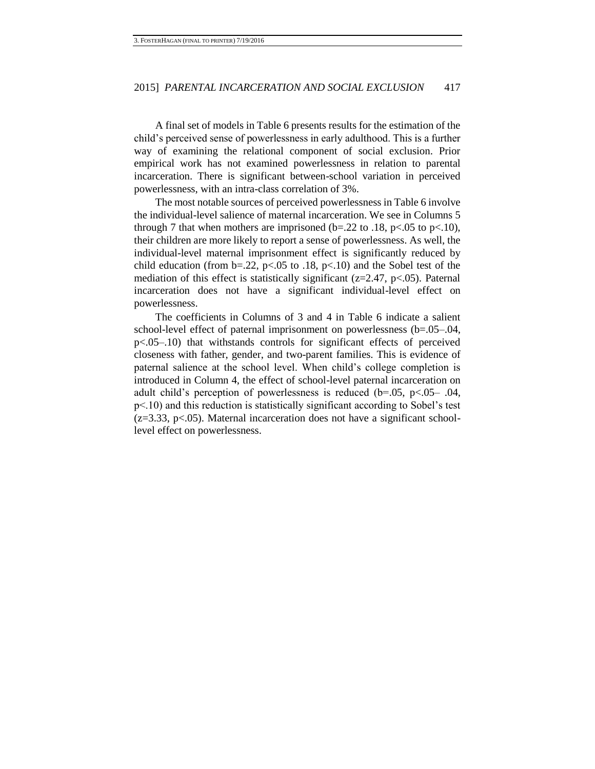A final set of models in Table 6 presents results for the estimation of the child's perceived sense of powerlessness in early adulthood. This is a further way of examining the relational component of social exclusion. Prior empirical work has not examined powerlessness in relation to parental incarceration. There is significant between-school variation in perceived powerlessness, with an intra-class correlation of 3%.

The most notable sources of perceived powerlessness in Table 6 involve the individual-level salience of maternal incarceration. We see in Columns 5 through 7 that when mothers are imprisoned (b=.22 to .18, p<.05 to p<.10), their children are more likely to report a sense of powerlessness. As well, the individual-level maternal imprisonment effect is significantly reduced by child education (from  $b=0.22$ ,  $p<0.05$  to .18,  $p<0.10$ ) and the Sobel test of the mediation of this effect is statistically significant ( $z=2.47$ ,  $p<.05$ ). Paternal incarceration does not have a significant individual-level effect on powerlessness.

The coefficients in Columns of 3 and 4 in Table 6 indicate a salient school-level effect of paternal imprisonment on powerlessness (b=.05–.04, p<.05–.10) that withstands controls for significant effects of perceived closeness with father, gender, and two-parent families. This is evidence of paternal salience at the school level. When child's college completion is introduced in Column 4, the effect of school-level paternal incarceration on adult child's perception of powerlessness is reduced  $(b=.05, p<.05-.04,$ p<.10) and this reduction is statistically significant according to Sobel's test  $(z=3.33, p<0.05)$ . Maternal incarceration does not have a significant schoollevel effect on powerlessness.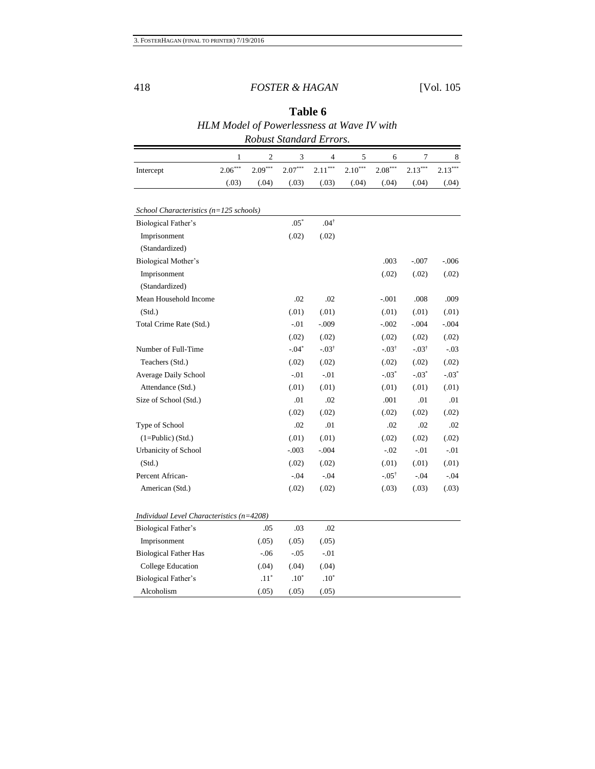| Robust Standard Errors.                     |           |           |           |                  |           |                      |           |           |  |  |
|---------------------------------------------|-----------|-----------|-----------|------------------|-----------|----------------------|-----------|-----------|--|--|
|                                             | 1         | 2         | 3         | 4                | 5         | 6                    | 7         | 8         |  |  |
| Intercept                                   | $2.06***$ | $2.09***$ | $2.07***$ | $2.11***$        | $2.10***$ | $2.08***$            | $2.13***$ | $2.13***$ |  |  |
|                                             | (.03)     | (.04)     | (.03)     | (.03)            | (.04)     | (.04)                | (.04)     | (.04)     |  |  |
|                                             |           |           |           |                  |           |                      |           |           |  |  |
| School Characteristics ( $n=125$ schools)   |           |           |           |                  |           |                      |           |           |  |  |
| Biological Father's                         |           |           | $.05*$    | $.04^{\dagger}$  |           |                      |           |           |  |  |
| Imprisonment                                |           |           | (.02)     | (.02)            |           |                      |           |           |  |  |
| (Standardized)                              |           |           |           |                  |           |                      |           |           |  |  |
| Biological Mother's                         |           |           |           |                  |           | .003                 | $-.007$   | $-0.06$   |  |  |
| Imprisonment                                |           |           |           |                  |           | (.02)                | (.02)     | (.02)     |  |  |
| (Standardized)                              |           |           |           |                  |           |                      |           |           |  |  |
| Mean Household Income                       |           |           | .02       | .02              |           | $-.001$              | .008      | .009      |  |  |
| (Std.)                                      |           |           | (.01)     | (.01)            |           | (.01)                | (.01)     | (.01)     |  |  |
| Total Crime Rate (Std.)                     |           |           | $-.01$    | $-0.09$          |           | $-.002$              | $-.004$   | $-.004$   |  |  |
|                                             |           |           | (.02)     | (.02)            |           | (.02)                | (.02)     | (.02)     |  |  |
| Number of Full-Time                         |           |           | $-.04*$   | $-.03^{\dagger}$ |           | $-.03^{\dagger}$     | $-.03†$   | $-0.03$   |  |  |
| Teachers (Std.)                             |           |           | (.02)     | (.02)            |           | (.02)                | (.02)     | (.02)     |  |  |
| Average Daily School                        |           |           | $-.01$    | $-.01$           |           | $-.03*$              | $-.03*$   | $-.03*$   |  |  |
| Attendance (Std.)                           |           |           | (.01)     | (.01)            |           | (.01)                | (.01)     | (.01)     |  |  |
| Size of School (Std.)                       |           |           | .01       | .02              |           | .001                 | .01       | .01       |  |  |
|                                             |           |           | (.02)     | (.02)            |           | (.02)                | (.02)     | (.02)     |  |  |
| Type of School                              |           |           | .02       | .01              |           | .02                  | .02       | .02       |  |  |
| $(1=Public) (Std.)$                         |           |           | (.01)     | (.01)            |           | (.02)                | (.02)     | (.02)     |  |  |
| <b>Urbanicity of School</b>                 |           |           | $-.003$   | $-.004$          |           | $-.02$               | $-.01$    | $-.01$    |  |  |
| (Std.)                                      |           |           | (.02)     | (.02)            |           | (.01)                | (.01)     | (.01)     |  |  |
| Percent African-                            |           |           | $-.04$    | $-.04$           |           | $-0.05$ <sup>†</sup> | $-.04$    | $-.04$    |  |  |
| American (Std.)                             |           |           | (.02)     | (.02)            |           | (.03)                | (.03)     | (.03)     |  |  |
|                                             |           |           |           |                  |           |                      |           |           |  |  |
| Individual Level Characteristics $(n=4208)$ |           |           |           |                  |           |                      |           |           |  |  |
| Biological Father's                         |           | .05       | .03       | .02              |           |                      |           |           |  |  |
| Imprisonment                                |           | (.05)     | (.05)     | (.05)            |           |                      |           |           |  |  |
| <b>Biological Father Has</b>                |           | $-.06$    | $-.05$    | $-.01$           |           |                      |           |           |  |  |
| College Education                           |           | (.04)     | (.04)     | (.04)            |           |                      |           |           |  |  |
| Biological Father's                         |           | $.11^*$   | $.10*$    | $.10*$           |           |                      |           |           |  |  |
| Alcoholism                                  |           | (.05)     | (.05)     | (.05)            |           |                      |           |           |  |  |

**Table 6** *HLM Model of Powerlessness at Wave IV with*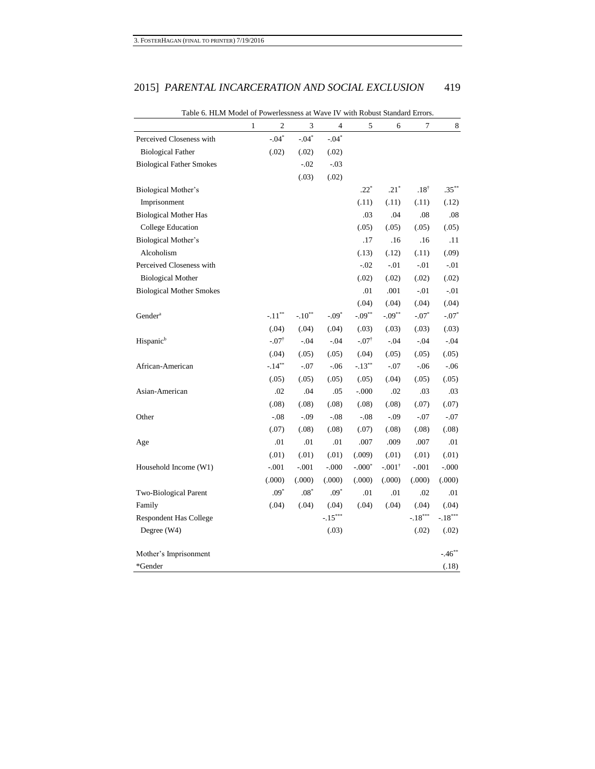|                                 | 1 | $\boldsymbol{2}$    | 3           | $\overline{4}$ | 5                   | 6                    | 7               | 8          |
|---------------------------------|---|---------------------|-------------|----------------|---------------------|----------------------|-----------------|------------|
| Perceived Closeness with        |   | $-.04*$             | $-.04*$     | $-04*$         |                     |                      |                 |            |
| <b>Biological Father</b>        |   | (.02)               | (.02)       | (.02)          |                     |                      |                 |            |
| <b>Biological Father Smokes</b> |   |                     | $-.02$      | $-.03$         |                     |                      |                 |            |
|                                 |   |                     | (.03)       | (.02)          |                     |                      |                 |            |
| Biological Mother's             |   |                     |             |                | $.22*$              | $.21*$               | $.18^{\dagger}$ | $.35***$   |
| Imprisonment                    |   |                     |             |                | (.11)               | (.11)                | (.11)           | (.12)      |
| <b>Biological Mother Has</b>    |   |                     |             |                | .03                 | .04                  | .08             | .08        |
| College Education               |   |                     |             |                | (.05)               | (.05)                | (.05)           | (.05)      |
| Biological Mother's             |   |                     |             |                | .17                 | .16                  | .16             | .11        |
| Alcoholism                      |   |                     |             |                | (.13)               | (.12)                | (.11)           | (.09)      |
| Perceived Closeness with        |   |                     |             |                | $-0.02$             | $-.01$               | $-.01$          | $-.01$     |
| <b>Biological Mother</b>        |   |                     |             |                | (.02)               | (.02)                | (.02)           | (.02)      |
| <b>Biological Mother Smokes</b> |   |                     |             |                | .01                 | .001                 | $-.01$          | $-.01$     |
|                                 |   |                     |             |                | (.04)               | (.04)                | (.04)           | (.04)      |
| Gender <sup>a</sup>             |   | $-.11***$           | $-.10^{**}$ | $-.09*$        | $-0.09***$          | $-.09**$             | $-.07*$         | $-.07*$    |
|                                 |   | (.04)               | (.04)       | (.04)          | (.03)               | (.03)                | (.03)           | (.03)      |
| Hispanic <sup>b</sup>           |   | $-.07$ <sup>†</sup> | $-.04$      | $-0.04$        | $-.07$ <sup>†</sup> | $-.04$               | $-.04$          | $-.04$     |
|                                 |   | (.04)               | (.05)       | (.05)          | (.04)               | (.05)                | (.05)           | (.05)      |
| African-American                |   | $-.14***$           | $-0.07$     | $-0.06$        | $-.13***$           | $-.07$               | $-.06$          | $-06$      |
|                                 |   | (.05)               | (.05)       | (.05)          | (.05)               | (.04)                | (.05)           | (.05)      |
| Asian-American                  |   | .02                 | .04         | .05            | $-000$              | .02                  | .03             | .03        |
|                                 |   | (.08)               | (.08)       | (.08)          | (.08)               | (.08)                | (.07)           | (.07)      |
| Other                           |   | $-.08$              | $-.09$      | $-.08$         | $-.08$              | $-.09$               | $-.07$          | $-.07$     |
|                                 |   | (.07)               | (.08)       | (.08)          | (.07)               | (.08)                | (.08)           | (.08)      |
| Age                             |   | .01                 | .01         | .01            | .007                | .009                 | .007            | .01        |
|                                 |   | (.01)               | (.01)       | (.01)          | (.009)              | (.01)                | (.01)           | (.01)      |
| Household Income (W1)           |   | $-.001$             | $-.001$     | $-0.000$       | $-.000*$            | $-.001$ <sup>†</sup> | $-.001$         | $-0.000$   |
|                                 |   | (.000)              | (.000)      | (.000)         | (.000)              | (.000)               | (.000)          | (.000)     |
| Two-Biological Parent           |   | $.09^{\circ}$       | $.08*$      | $.09*$         | .01                 | .01                  | .02             | .01        |
| Family                          |   | (.04)               | (.04)       | (.04)          | (.04)               | (.04)                | (.04)           | (.04)      |
| <b>Respondent Has College</b>   |   |                     |             | $-.15***$      |                     |                      | $-.18***$       | $-.18***$  |
| Degree $(W4)$                   |   |                     |             | (.03)          |                     |                      | (.02)           | (.02)      |
| Mother's Imprisonment           |   |                     |             |                |                     |                      |                 | $-46^{**}$ |
| *Gender                         |   |                     |             |                |                     |                      |                 | (.18)      |

Table 6. HLM Model of Powerlessness at Wave IV with Robust Standard Errors.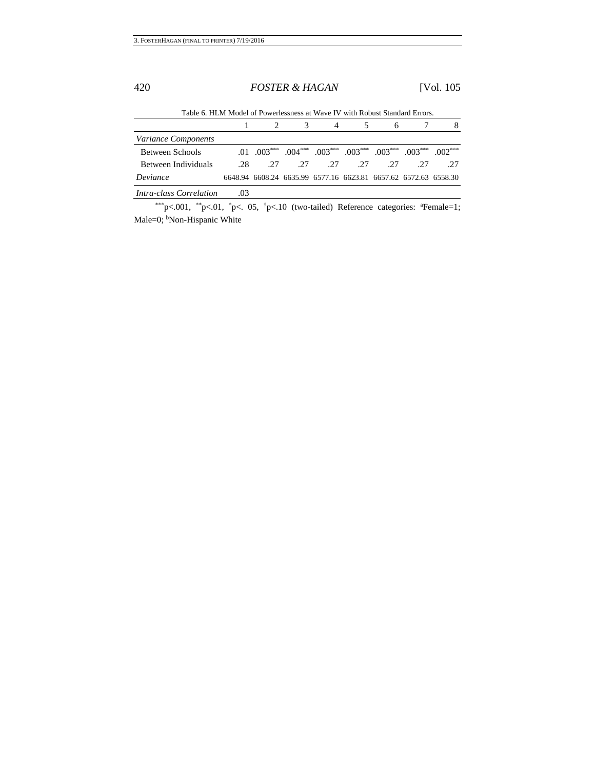| Table 6. HLM Model of Powerlessness at Wave IV with Robust Standard Errors. |     |     |                                                                                |                |             |      |      |
|-----------------------------------------------------------------------------|-----|-----|--------------------------------------------------------------------------------|----------------|-------------|------|------|
|                                                                             |     |     |                                                                                | $\overline{4}$ | 6           |      | 8    |
| <i>Variance Components</i>                                                  |     |     |                                                                                |                |             |      |      |
| Between Schools                                                             |     |     | $0.01$ $0.003***$ $0.04***$ $0.003***$ $0.03***$ $0.03***$ $0.03***$ $0.02***$ |                |             |      |      |
| Between Individuals                                                         | 28. | -27 |                                                                                |                | 27 27 27 27 | - 27 | - 27 |
| Deviance                                                                    |     |     | 6648.94 6608.24 6635.99 6577.16 6623.81 6657.62 6572.63 6558.30                |                |             |      |      |
| <i>Intra-class Correlation</i>                                              | .03 |     |                                                                                |                |             |      |      |

Table 6. HLM Model of Powerlessness at Wave IV with Robust Standard Errors.

\*\*\*p<.001, \*\*p<.01, \*p<. 05, \*p<.10 (two-tailed) Reference categories: \*Female=1; Male=0; <sup>b</sup>Non-Hispanic White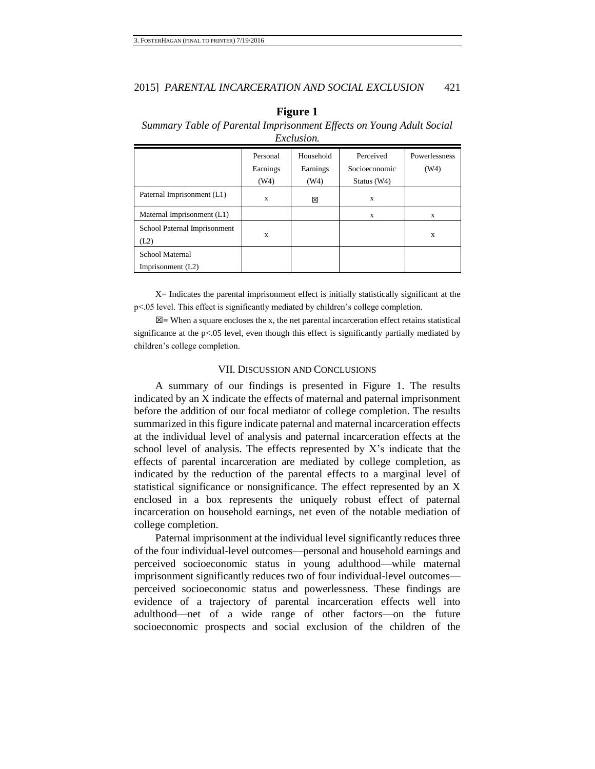| <i>LA</i> undu                       |                              |                               |                                           |                       |  |
|--------------------------------------|------------------------------|-------------------------------|-------------------------------------------|-----------------------|--|
|                                      | Personal<br>Earnings<br>(W4) | Household<br>Earnings<br>(W4) | Perceived<br>Socioeconomic<br>Status (W4) | Powerlessness<br>(W4) |  |
| Paternal Imprisonment (L1)           | X                            | 図                             | X                                         |                       |  |
| Maternal Imprisonment (L1)           |                              |                               | X                                         | X                     |  |
| School Paternal Imprisonment<br>(L2) | X                            |                               |                                           | X                     |  |
| School Maternal                      |                              |                               |                                           |                       |  |
| Imprisonment (L2)                    |                              |                               |                                           |                       |  |

### **Figure 1**

*Summary Table of Parental Imprisonment Effects on Young Adult Social Exclusion.*

X= Indicates the parental imprisonment effect is initially statistically significant at the p<.05 level. This effect is significantly mediated by children's college completion.

 $\boxtimes$  = When a square encloses the x, the net parental incarceration effect retains statistical significance at the p<.05 level, even though this effect is significantly partially mediated by children's college completion.

#### VII. DISCUSSION AND CONCLUSIONS

A summary of our findings is presented in Figure 1. The results indicated by an X indicate the effects of maternal and paternal imprisonment before the addition of our focal mediator of college completion. The results summarized in this figure indicate paternal and maternal incarceration effects at the individual level of analysis and paternal incarceration effects at the school level of analysis. The effects represented by X's indicate that the effects of parental incarceration are mediated by college completion, as indicated by the reduction of the parental effects to a marginal level of statistical significance or nonsignificance. The effect represented by an X enclosed in a box represents the uniquely robust effect of paternal incarceration on household earnings, net even of the notable mediation of college completion.

Paternal imprisonment at the individual level significantly reduces three of the four individual-level outcomes—personal and household earnings and perceived socioeconomic status in young adulthood—while maternal imprisonment significantly reduces two of four individual-level outcomes perceived socioeconomic status and powerlessness. These findings are evidence of a trajectory of parental incarceration effects well into adulthood—net of a wide range of other factors—on the future socioeconomic prospects and social exclusion of the children of the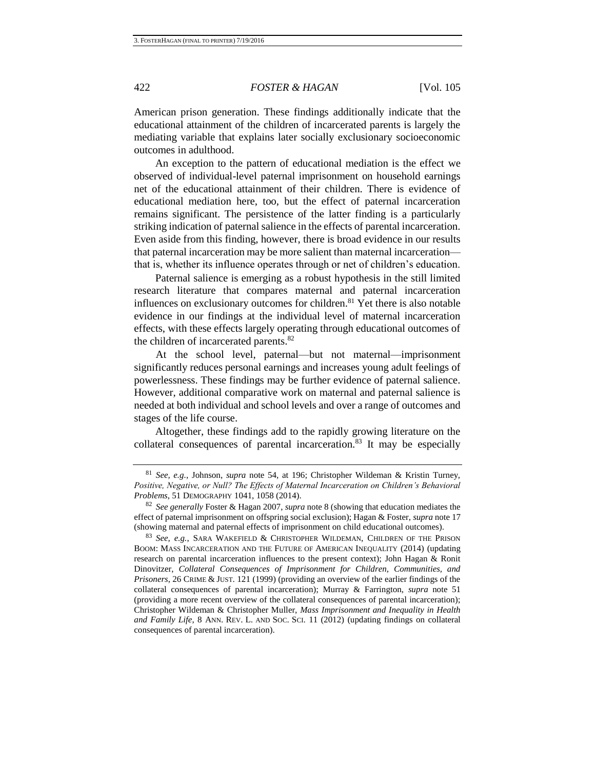American prison generation. These findings additionally indicate that the educational attainment of the children of incarcerated parents is largely the mediating variable that explains later socially exclusionary socioeconomic outcomes in adulthood.

An exception to the pattern of educational mediation is the effect we observed of individual-level paternal imprisonment on household earnings net of the educational attainment of their children. There is evidence of educational mediation here, too, but the effect of paternal incarceration remains significant. The persistence of the latter finding is a particularly striking indication of paternal salience in the effects of parental incarceration. Even aside from this finding, however, there is broad evidence in our results that paternal incarceration may be more salient than maternal incarceration that is, whether its influence operates through or net of children's education.

Paternal salience is emerging as a robust hypothesis in the still limited research literature that compares maternal and paternal incarceration influences on exclusionary outcomes for children.<sup>81</sup> Yet there is also notable evidence in our findings at the individual level of maternal incarceration effects, with these effects largely operating through educational outcomes of the children of incarcerated parents.<sup>82</sup>

At the school level, paternal—but not maternal—imprisonment significantly reduces personal earnings and increases young adult feelings of powerlessness. These findings may be further evidence of paternal salience. However, additional comparative work on maternal and paternal salience is needed at both individual and school levels and over a range of outcomes and stages of the life course.

Altogether, these findings add to the rapidly growing literature on the collateral consequences of parental incarceration.<sup>83</sup> It may be especially

<sup>81</sup> *See, e.g.*, Johnson, *supra* note [54,](#page-10-4) at 196; Christopher Wildeman & Kristin Turney, Positive, Negative, or Null? The Effects of Maternal Incarceration on Children's Behavioral *Problems*, 51 DEMOGRAPHY 1041, 1058 (2014).

<sup>82</sup> *See generally* Foster & Hagan 2007, *supra* not[e 8](#page-4-0) (showing that education mediates the effect of paternal imprisonment on offspring social exclusion); Hagan & Foster, *supra* note 17 (showing maternal and paternal effects of imprisonment on child educational outcomes).

<sup>83</sup> *See, e.g.*, SARA WAKEFIELD & CHRISTOPHER WILDEMAN, CHILDREN OF THE PRISON BOOM: MASS INCARCERATION AND THE FUTURE OF AMERICAN INEQUALITY (2014) (updating research on parental incarceration influences to the present context); John Hagan & Ronit Dinovitzer, *Collateral Consequences of Imprisonment for Children, Communities, and Prisoners*, 26 CRIME & JUST. 121 (1999) (providing an overview of the earlier findings of the collateral consequences of parental incarceration); Murray & Farrington, *supra* note [51](#page-10-5) (providing a more recent overview of the collateral consequences of parental incarceration); Christopher Wildeman & Christopher Muller, *Mass Imprisonment and Inequality in Health and Family Life*, 8 ANN. REV. L. AND SOC. SCI. 11 (2012) (updating findings on collateral consequences of parental incarceration).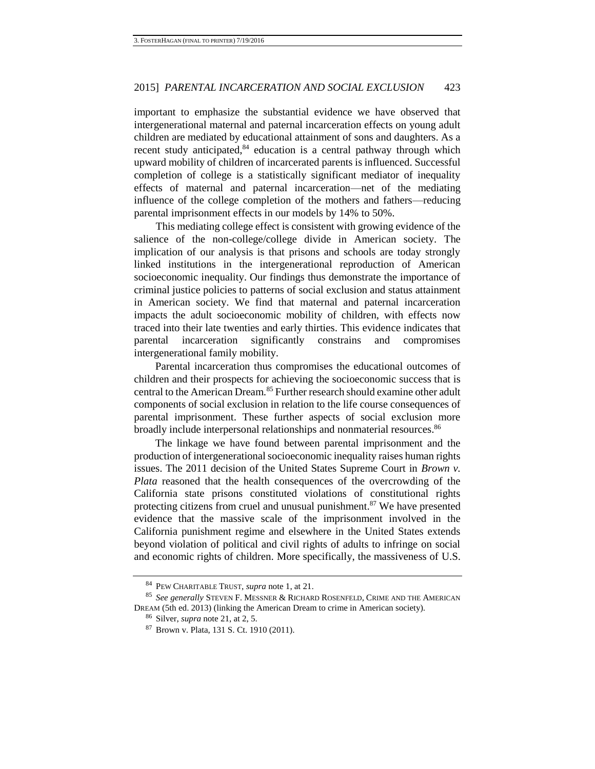important to emphasize the substantial evidence we have observed that intergenerational maternal and paternal incarceration effects on young adult children are mediated by educational attainment of sons and daughters. As a recent study anticipated,<sup>84</sup> education is a central pathway through which upward mobility of children of incarcerated parents is influenced. Successful completion of college is a statistically significant mediator of inequality effects of maternal and paternal incarceration—net of the mediating influence of the college completion of the mothers and fathers—reducing parental imprisonment effects in our models by 14% to 50%.

This mediating college effect is consistent with growing evidence of the salience of the non-college/college divide in American society. The implication of our analysis is that prisons and schools are today strongly linked institutions in the intergenerational reproduction of American socioeconomic inequality. Our findings thus demonstrate the importance of criminal justice policies to patterns of social exclusion and status attainment in American society. We find that maternal and paternal incarceration impacts the adult socioeconomic mobility of children, with effects now traced into their late twenties and early thirties. This evidence indicates that parental incarceration significantly constrains and compromises intergenerational family mobility.

Parental incarceration thus compromises the educational outcomes of children and their prospects for achieving the socioeconomic success that is central to the American Dream.<sup>85</sup> Further research should examine other adult components of social exclusion in relation to the life course consequences of parental imprisonment. These further aspects of social exclusion more broadly include interpersonal relationships and nonmaterial resources.<sup>86</sup>

The linkage we have found between parental imprisonment and the production of intergenerational socioeconomic inequality raises human rights issues. The 2011 decision of the United States Supreme Court in *Brown v. Plata* reasoned that the health consequences of the overcrowding of the California state prisons constituted violations of constitutional rights protecting citizens from cruel and unusual punishment.<sup>87</sup> We have presented evidence that the massive scale of the imprisonment involved in the California punishment regime and elsewhere in the United States extends beyond violation of political and civil rights of adults to infringe on social and economic rights of children. More specifically, the massiveness of U.S.

<sup>84</sup> PEW CHARITABLE TRUST, *supra* note [1,](#page-3-0) at 21.

<sup>85</sup> *See generally* STEVEN F. MESSNER & RICHARD ROSENFELD, CRIME AND THE AMERICAN DREAM (5th ed. 2013) (linking the American Dream to crime in American society).

<sup>86</sup> Silver, *supra* note [21,](#page-6-0) at 2, 5.

<sup>87</sup> Brown v. Plata, 131 S. Ct. 1910 (2011).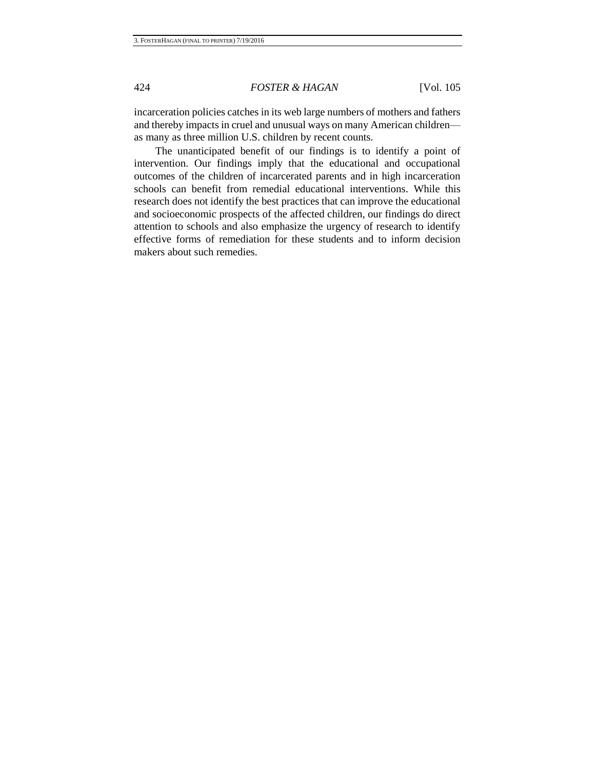incarceration policies catches in its web large numbers of mothers and fathers and thereby impacts in cruel and unusual ways on many American children as many as three million U.S. children by recent counts.

The unanticipated benefit of our findings is to identify a point of intervention. Our findings imply that the educational and occupational outcomes of the children of incarcerated parents and in high incarceration schools can benefit from remedial educational interventions. While this research does not identify the best practices that can improve the educational and socioeconomic prospects of the affected children, our findings do direct attention to schools and also emphasize the urgency of research to identify effective forms of remediation for these students and to inform decision makers about such remedies.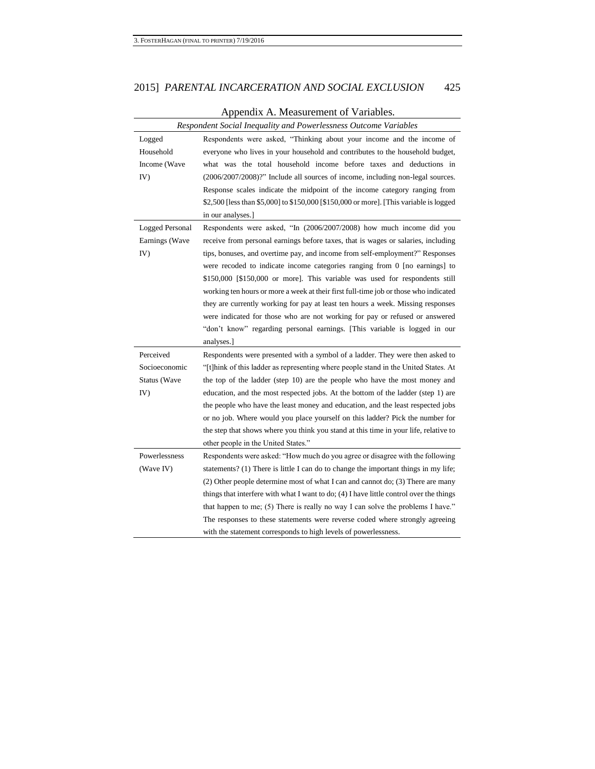|                        | Respondent Social Inequality and Powerlessness Outcome Variables                        |
|------------------------|-----------------------------------------------------------------------------------------|
| Logged                 | Respondents were asked, "Thinking about your income and the income of                   |
| Household              | everyone who lives in your household and contributes to the household budget,           |
| Income (Wave           | what was the total household income before taxes and deductions in                      |
| IV)                    | $(2006/2007/2008)$ ?" Include all sources of income, including non-legal sources.       |
|                        | Response scales indicate the midpoint of the income category ranging from               |
|                        | \$2,500 [less than \$5,000] to \$150,000 [\$150,000 or more]. [This variable is logged  |
|                        | in our analyses.]                                                                       |
| <b>Logged Personal</b> | Respondents were asked, "In (2006/2007/2008) how much income did you                    |
| Earnings (Wave         | receive from personal earnings before taxes, that is wages or salaries, including       |
| IV)                    | tips, bonuses, and overtime pay, and income from self-employment?" Responses            |
|                        | were recoded to indicate income categories ranging from 0 [no earnings] to              |
|                        | \$150,000 [\$150,000 or more]. This variable was used for respondents still             |
|                        | working ten hours or more a week at their first full-time job or those who indicated    |
|                        | they are currently working for pay at least ten hours a week. Missing responses         |
|                        | were indicated for those who are not working for pay or refused or answered             |
|                        | "don't know" regarding personal earnings. [This variable is logged in our               |
|                        | analyses.]                                                                              |
| Perceived              | Respondents were presented with a symbol of a ladder. They were then asked to           |
| Socioeconomic          | "[t]hink of this ladder as representing where people stand in the United States. At     |
| Status (Wave           | the top of the ladder (step 10) are the people who have the most money and              |
| IV)                    | education, and the most respected jobs. At the bottom of the ladder (step 1) are        |
|                        | the people who have the least money and education, and the least respected jobs         |
|                        | or no job. Where would you place yourself on this ladder? Pick the number for           |
|                        | the step that shows where you think you stand at this time in your life, relative to    |
|                        | other people in the United States."                                                     |
| Powerlessness          | Respondents were asked: "How much do you agree or disagree with the following           |
| (Wave IV)              | statements? (1) There is little I can do to change the important things in my life;     |
|                        | (2) Other people determine most of what I can and cannot do; (3) There are many         |
|                        | things that interfere with what I want to do; (4) I have little control over the things |
|                        | that happen to me; (5) There is really no way I can solve the problems I have."         |
|                        | The responses to these statements were reverse coded where strongly agreeing            |
|                        | with the statement corresponds to high levels of powerlessness.                         |

### Appendix A. Measurement of Variables.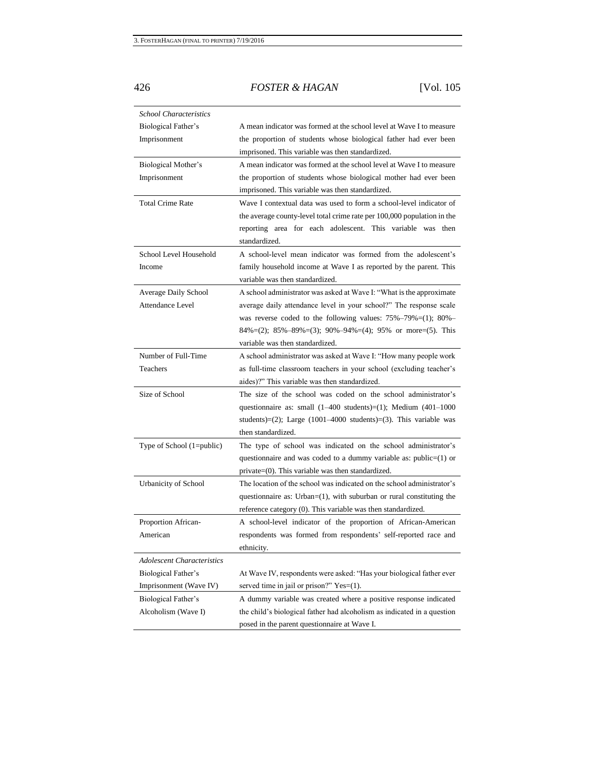| <b>School Characteristics</b>     |                                                                                     |
|-----------------------------------|-------------------------------------------------------------------------------------|
| Biological Father's               | A mean indicator was formed at the school level at Wave I to measure                |
| Imprisonment                      | the proportion of students whose biological father had ever been                    |
|                                   | imprisoned. This variable was then standardized.                                    |
| Biological Mother's               | A mean indicator was formed at the school level at Wave I to measure                |
| Imprisonment                      | the proportion of students whose biological mother had ever been                    |
|                                   | imprisoned. This variable was then standardized.                                    |
| <b>Total Crime Rate</b>           | Wave I contextual data was used to form a school-level indicator of                 |
|                                   | the average county-level total crime rate per 100,000 population in the             |
|                                   | reporting area for each adolescent. This variable was then                          |
|                                   | standardized.                                                                       |
| School Level Household            | A school-level mean indicator was formed from the adolescent's                      |
| Income                            | family household income at Wave I as reported by the parent. This                   |
|                                   | variable was then standardized.                                                     |
| Average Daily School              | A school administrator was asked at Wave I: "What is the approximate                |
| <b>Attendance Level</b>           | average daily attendance level in your school?" The response scale                  |
|                                   | was reverse coded to the following values: $75\% - 79\% = (1)$ ; 80%-               |
|                                   | $84\% = (2)$ ; $85\% - 89\% = (3)$ ; $90\% - 94\% = (4)$ ; $95\%$ or more=(5). This |
|                                   | variable was then standardized.                                                     |
| Number of Full-Time               | A school administrator was asked at Wave I: "How many people work                   |
| Teachers                          | as full-time classroom teachers in your school (excluding teacher's                 |
|                                   | aides)?" This variable was then standardized.                                       |
| Size of School                    | The size of the school was coded on the school administrator's                      |
|                                   | questionnaire as: small $(1-400$ students $)=(1)$ ; Medium $(401-1000)$             |
|                                   | students $)=(2)$ ; Large (1001-4000 students $)=(3)$ . This variable was            |
|                                   | then standardized.                                                                  |
| Type of School (1=public)         | The type of school was indicated on the school administrator's                      |
|                                   | questionnaire and was coded to a dummy variable as: $public=(1)$ or                 |
|                                   | $private=(0)$ . This variable was then standardized.                                |
| <b>Urbanicity of School</b>       | The location of the school was indicated on the school administrator's              |
|                                   | questionnaire as: $Urban=(1)$ , with suburban or rural constituting the             |
|                                   | reference category (0). This variable was then standardized.                        |
| Proportion African-               | A school-level indicator of the proportion of African-American                      |
| American                          | respondents was formed from respondents' self-reported race and                     |
|                                   | ethnicity.                                                                          |
| <b>Adolescent Characteristics</b> |                                                                                     |
| Biological Father's               | At Wave IV, respondents were asked: "Has your biological father ever                |
| Imprisonment (Wave IV)            | served time in jail or prison?" $Yes=(1)$ .                                         |
| Biological Father's               | A dummy variable was created where a positive response indicated                    |
| Alcoholism (Wave I)               | the child's biological father had alcoholism as indicated in a question             |
|                                   | posed in the parent questionnaire at Wave I.                                        |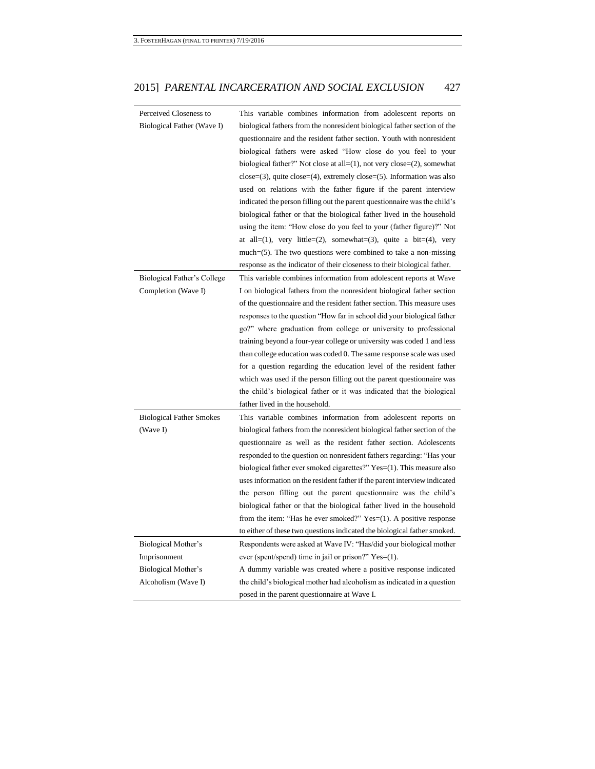| Perceived Closeness to<br>Biological Father (Wave I) | This variable combines information from adolescent reports on<br>biological fathers from the nonresident biological father section of the<br>questionnaire and the resident father section. Youth with nonresident<br>biological fathers were asked "How close do you feel to your<br>biological father?" Not close at all= $(1)$ , not very close= $(2)$ , somewhat<br>$close=(3)$ , quite $close=(4)$ , extremely $close=(5)$ . Information was also |
|------------------------------------------------------|--------------------------------------------------------------------------------------------------------------------------------------------------------------------------------------------------------------------------------------------------------------------------------------------------------------------------------------------------------------------------------------------------------------------------------------------------------|
|                                                      | used on relations with the father figure if the parent interview                                                                                                                                                                                                                                                                                                                                                                                       |
|                                                      | indicated the person filling out the parent questionnaire was the child's                                                                                                                                                                                                                                                                                                                                                                              |
|                                                      | biological father or that the biological father lived in the household                                                                                                                                                                                                                                                                                                                                                                                 |
|                                                      | using the item: "How close do you feel to your (father figure)?" Not                                                                                                                                                                                                                                                                                                                                                                                   |
|                                                      | at all= $(1)$ , very little= $(2)$ , somewhat= $(3)$ , quite a bit= $(4)$ , very                                                                                                                                                                                                                                                                                                                                                                       |
|                                                      | much=(5). The two questions were combined to take a non-missing                                                                                                                                                                                                                                                                                                                                                                                        |
|                                                      | response as the indicator of their closeness to their biological father.                                                                                                                                                                                                                                                                                                                                                                               |
| Biological Father's College                          | This variable combines information from adolescent reports at Wave                                                                                                                                                                                                                                                                                                                                                                                     |
| Completion (Wave I)                                  | I on biological fathers from the nonresident biological father section                                                                                                                                                                                                                                                                                                                                                                                 |
|                                                      | of the questionnaire and the resident father section. This measure uses                                                                                                                                                                                                                                                                                                                                                                                |
|                                                      | responses to the question "How far in school did your biological father                                                                                                                                                                                                                                                                                                                                                                                |
|                                                      | go?" where graduation from college or university to professional                                                                                                                                                                                                                                                                                                                                                                                       |
|                                                      | training beyond a four-year college or university was coded 1 and less                                                                                                                                                                                                                                                                                                                                                                                 |
|                                                      | than college education was coded 0. The same response scale was used                                                                                                                                                                                                                                                                                                                                                                                   |
|                                                      | for a question regarding the education level of the resident father                                                                                                                                                                                                                                                                                                                                                                                    |
|                                                      | which was used if the person filling out the parent questionnaire was                                                                                                                                                                                                                                                                                                                                                                                  |
|                                                      | the child's biological father or it was indicated that the biological                                                                                                                                                                                                                                                                                                                                                                                  |
|                                                      | father lived in the household.                                                                                                                                                                                                                                                                                                                                                                                                                         |
| <b>Biological Father Smokes</b>                      | This variable combines information from adolescent reports on                                                                                                                                                                                                                                                                                                                                                                                          |
| (Wave I)                                             | biological fathers from the nonresident biological father section of the                                                                                                                                                                                                                                                                                                                                                                               |
|                                                      | questionnaire as well as the resident father section. Adolescents                                                                                                                                                                                                                                                                                                                                                                                      |
|                                                      | responded to the question on nonresident fathers regarding: "Has your                                                                                                                                                                                                                                                                                                                                                                                  |
|                                                      | biological father ever smoked cigarettes?" Yes=(1). This measure also                                                                                                                                                                                                                                                                                                                                                                                  |
|                                                      | uses information on the resident father if the parent interview indicated                                                                                                                                                                                                                                                                                                                                                                              |
|                                                      | the person filling out the parent questionnaire was the child's                                                                                                                                                                                                                                                                                                                                                                                        |
|                                                      | biological father or that the biological father lived in the household                                                                                                                                                                                                                                                                                                                                                                                 |
|                                                      | from the item: "Has he ever smoked?" $Yes=(1)$ . A positive response                                                                                                                                                                                                                                                                                                                                                                                   |
|                                                      | to either of these two questions indicated the biological father smoked.                                                                                                                                                                                                                                                                                                                                                                               |
| Biological Mother's                                  | Respondents were asked at Wave IV: "Has/did your biological mother                                                                                                                                                                                                                                                                                                                                                                                     |
| Imprisonment                                         | ever (spent/spend) time in jail or prison?" $Yes=(1)$ .                                                                                                                                                                                                                                                                                                                                                                                                |
| <b>Biological Mother's</b>                           | A dummy variable was created where a positive response indicated                                                                                                                                                                                                                                                                                                                                                                                       |
| Alcoholism (Wave I)                                  | the child's biological mother had alcoholism as indicated in a question                                                                                                                                                                                                                                                                                                                                                                                |
|                                                      | posed in the parent questionnaire at Wave I.                                                                                                                                                                                                                                                                                                                                                                                                           |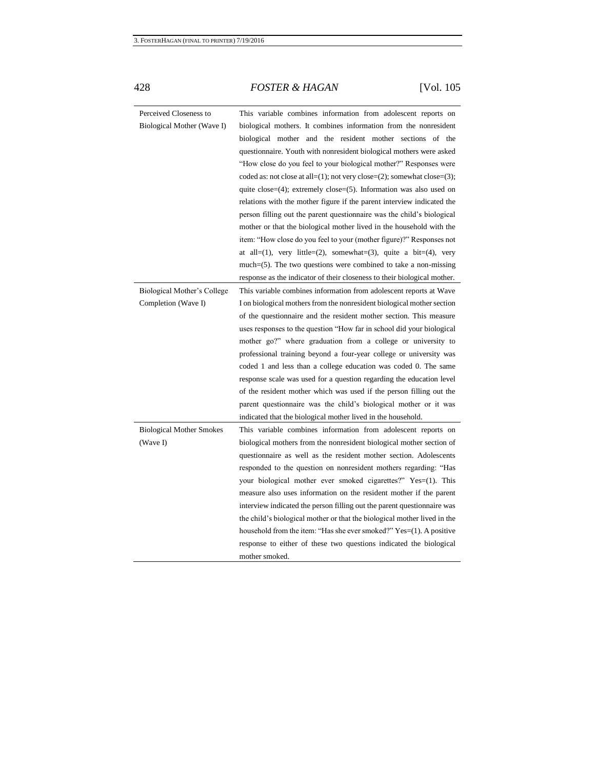| Perceived Closeness to<br>Biological Mother (Wave I) | This variable combines information from adolescent reports on<br>biological mothers. It combines information from the nonresident<br>biological mother and the resident mother sections of the<br>questionnaire. Youth with nonresident biological mothers were asked<br>"How close do you feel to your biological mother?" Responses were<br>coded as: not close at all= $(1)$ ; not very close= $(2)$ ; somewhat close= $(3)$ ;                                                                                                                                            |
|------------------------------------------------------|------------------------------------------------------------------------------------------------------------------------------------------------------------------------------------------------------------------------------------------------------------------------------------------------------------------------------------------------------------------------------------------------------------------------------------------------------------------------------------------------------------------------------------------------------------------------------|
|                                                      | quite close= $(4)$ ; extremely close= $(5)$ . Information was also used on<br>relations with the mother figure if the parent interview indicated the<br>person filling out the parent questionnaire was the child's biological<br>mother or that the biological mother lived in the household with the                                                                                                                                                                                                                                                                       |
|                                                      | item: "How close do you feel to your (mother figure)?" Responses not<br>at all=(1), very little=(2), somewhat=(3), quite a bit=(4), very<br>$much=(5)$ . The two questions were combined to take a non-missing<br>response as the indicator of their closeness to their biological mother.                                                                                                                                                                                                                                                                                   |
| Biological Mother's College<br>Completion (Wave I)   | This variable combines information from adolescent reports at Wave<br>I on biological mothers from the nonresident biological mother section<br>of the questionnaire and the resident mother section. This measure<br>uses responses to the question "How far in school did your biological<br>mother go?" where graduation from a college or university to<br>professional training beyond a four-year college or university was<br>coded 1 and less than a college education was coded 0. The same<br>response scale was used for a question regarding the education level |
|                                                      | of the resident mother which was used if the person filling out the<br>parent questionnaire was the child's biological mother or it was<br>indicated that the biological mother lived in the household.                                                                                                                                                                                                                                                                                                                                                                      |
| <b>Biological Mother Smokes</b><br>(Wave I)          | This variable combines information from adolescent reports on<br>biological mothers from the nonresident biological mother section of<br>questionnaire as well as the resident mother section. Adolescents<br>responded to the question on nonresident mothers regarding: "Has<br>your biological mother ever smoked cigarettes?" Yes=(1). This<br>measure also uses information on the resident mother if the parent<br>interview indicated the person filling out the parent questionnaire was<br>the child's biological mother or that the biological mother lived in the |
|                                                      | household from the item: "Has she ever smoked?" Yes=(1). A positive<br>response to either of these two questions indicated the biological<br>mother smoked.                                                                                                                                                                                                                                                                                                                                                                                                                  |